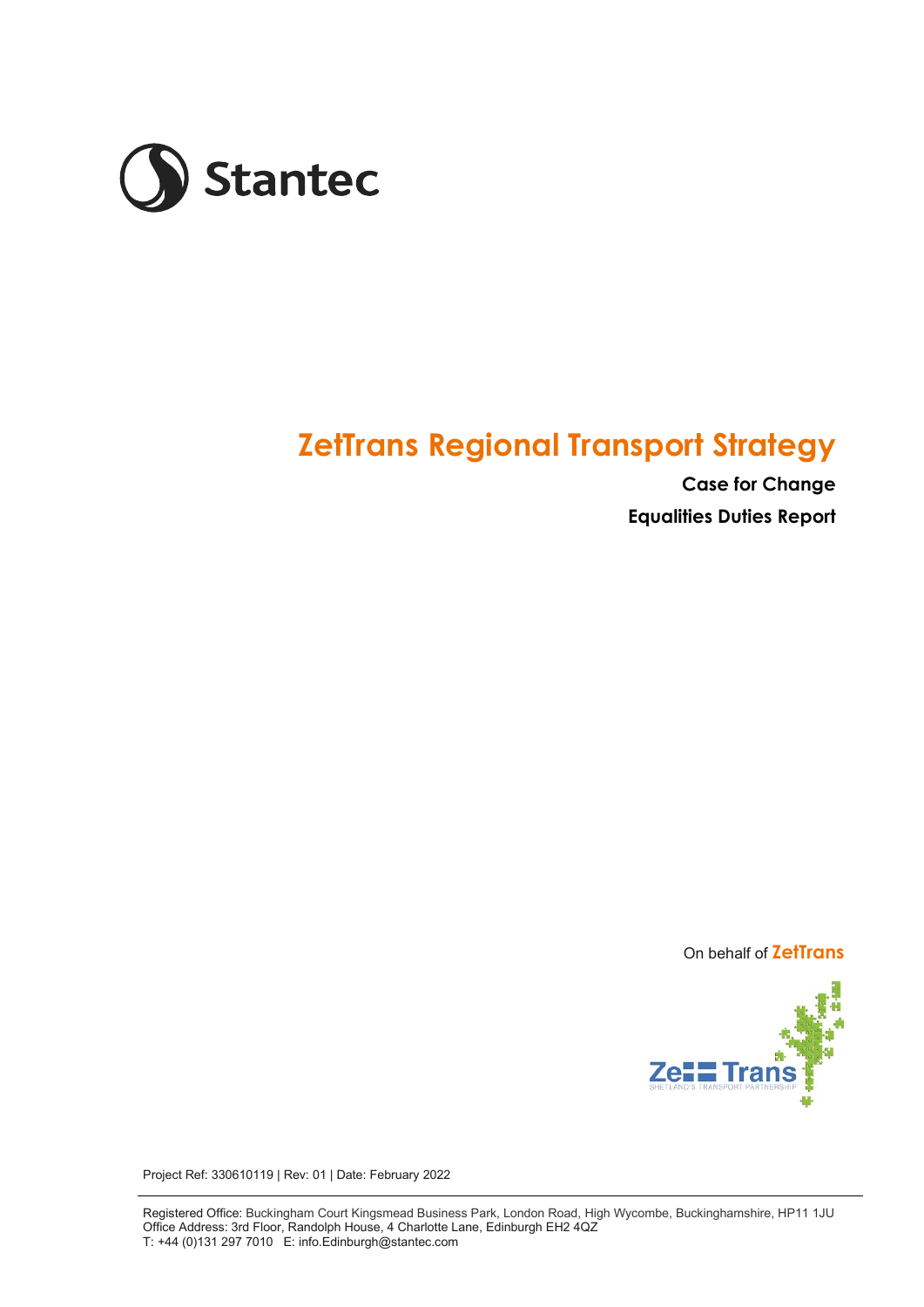

# ZetTrans Regional Transport Strategy

Case for Change Equalities Duties Report

On behalf of **ZetTrans** 



Project Ref: 330610119 | Rev: 01 | Date: February 2022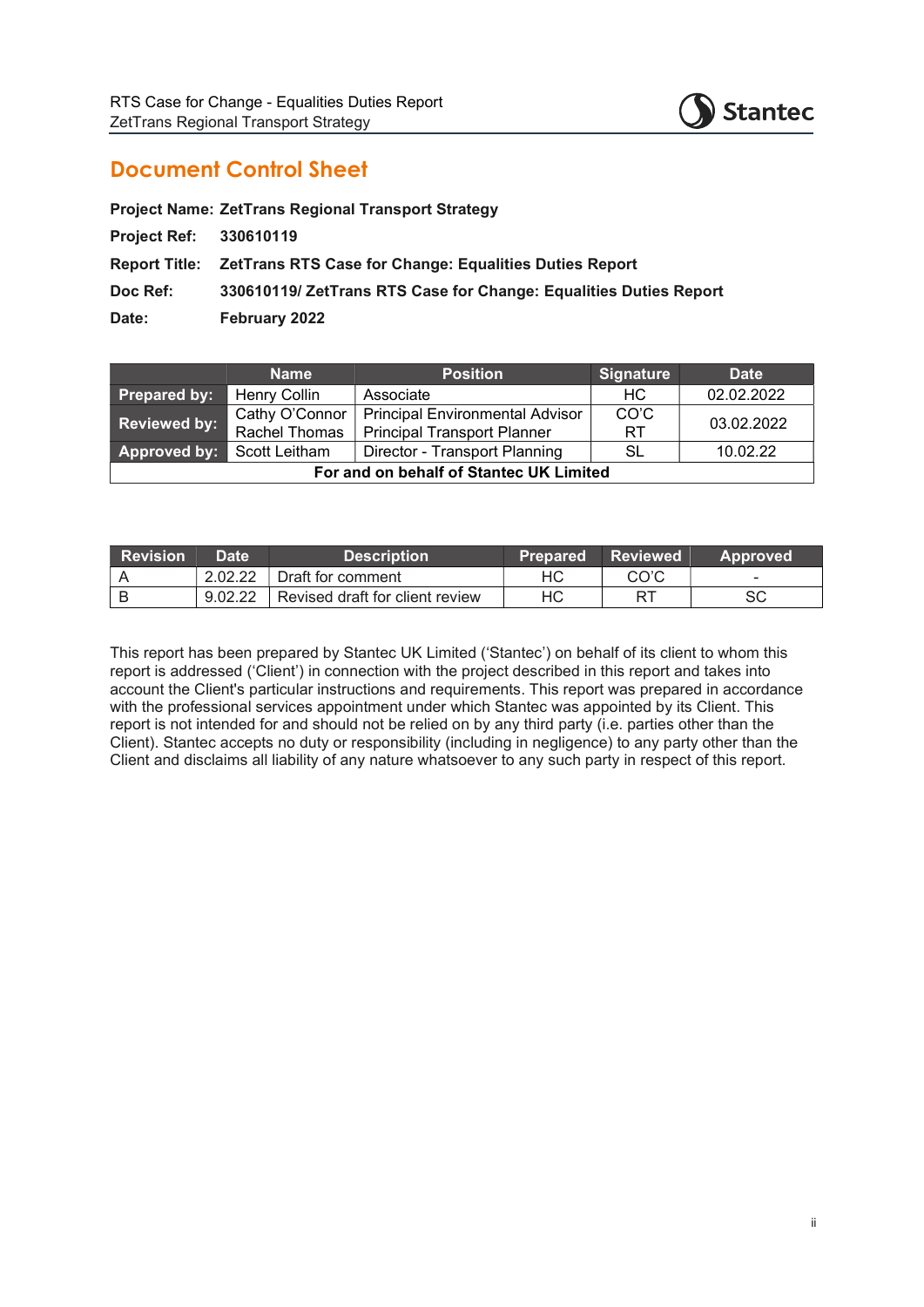

## Document Control Sheet

|                               | <b>Project Name: ZetTrans Regional Transport Strategy</b>            |
|-------------------------------|----------------------------------------------------------------------|
| <b>Project Ref: 330610119</b> |                                                                      |
|                               | Report Title: ZetTrans RTS Case for Change: Equalities Duties Report |
| Doc Ref:                      | 330610119/ ZetTrans RTS Case for Change: Equalities Duties Report    |
| Date:                         | February 2022                                                        |

|                                         | <b>Name</b>                     | <b>Position</b>                                                              | <b>Signature</b> | <b>Date</b> |
|-----------------------------------------|---------------------------------|------------------------------------------------------------------------------|------------------|-------------|
| <b>Prepared by:</b>                     | <b>Henry Collin</b>             | Associate                                                                    | HC.              | 02.02.2022  |
| <b>Reviewed by:</b>                     | Cathy O'Connor<br>Rachel Thomas | <b>Principal Environmental Advisor</b><br><b>Principal Transport Planner</b> | CO'C<br>RT       | 03.02.2022  |
| Approved by:                            | Scott Leitham                   | Director - Transport Planning                                                | SL               | 10.02.22    |
| For and on behalf of Stantec UK Limited |                                 |                                                                              |                  |             |

| <b>Revision</b> | Date \  | <b>Description</b>              | <b>Prepared</b> | <b>Reviewed</b> | <b>Approved</b>          |
|-----------------|---------|---------------------------------|-----------------|-----------------|--------------------------|
|                 | 2.02.22 | I Draft for comment             | НC              | CO'C            | $\overline{\phantom{a}}$ |
| B               | 9.02.22 | Revised draft for client review | НC              | RT              | SC                       |

This report has been prepared by Stantec UK Limited ('Stantec') on behalf of its client to whom this report is addressed ('Client') in connection with the project described in this report and takes into account the Client's particular instructions and requirements. This report was prepared in accordance with the professional services appointment under which Stantec was appointed by its Client. This report is not intended for and should not be relied on by any third party (i.e. parties other than the Client). Stantec accepts no duty or responsibility (including in negligence) to any party other than the Client and disclaims all liability of any nature whatsoever to any such party in respect of this report.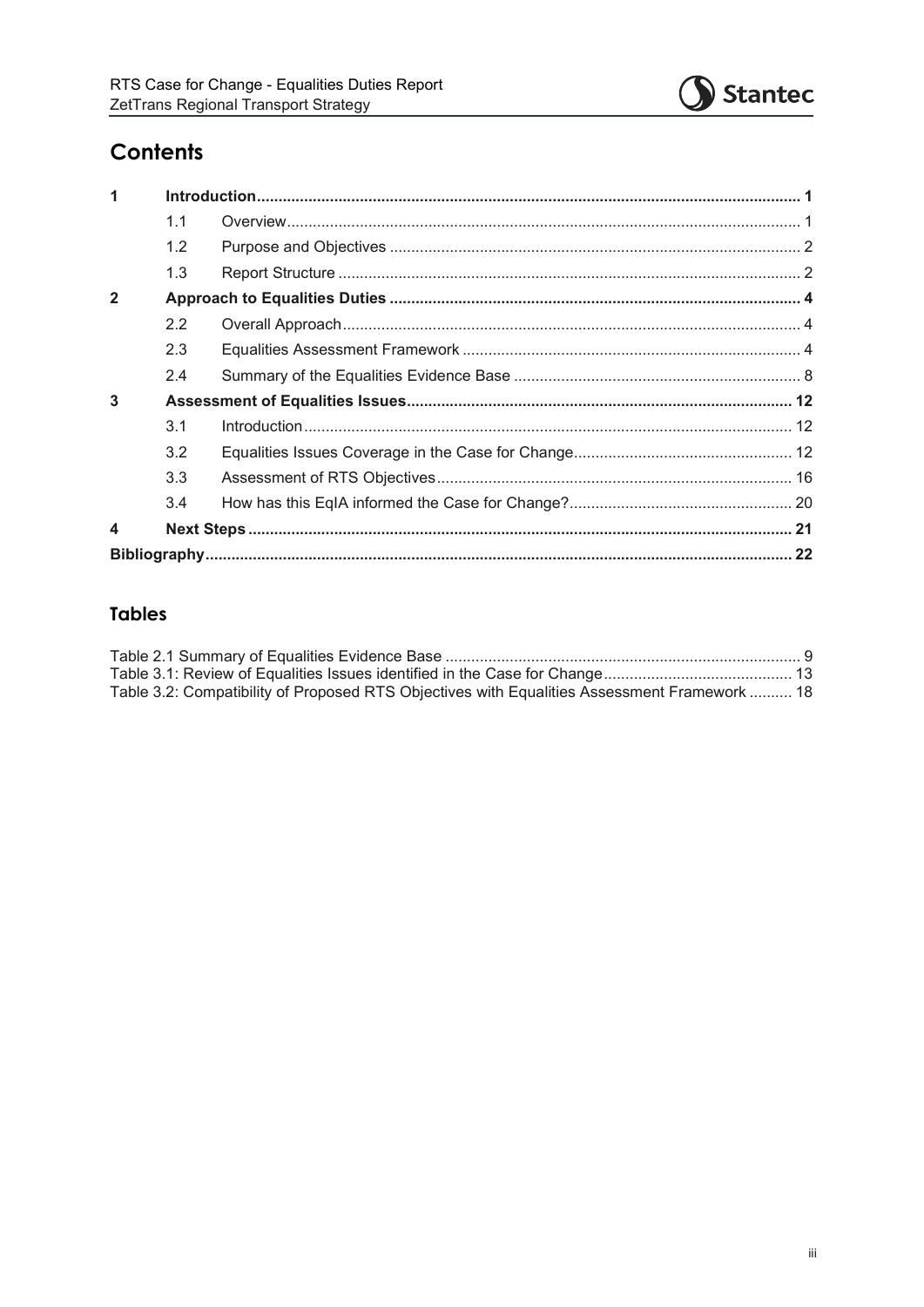

## Contents

| 1            |     |  |
|--------------|-----|--|
|              | 1.1 |  |
|              | 1.2 |  |
|              | 1.3 |  |
| $\mathbf{2}$ |     |  |
|              | 2.2 |  |
|              | 2.3 |  |
|              | 2.4 |  |
| 3            |     |  |
|              | 3.1 |  |
|              | 3.2 |  |
|              | 3.3 |  |
|              | 3.4 |  |
| 4            |     |  |
|              |     |  |

## **Tables**

| Table 3.2: Compatibility of Proposed RTS Objectives with Equalities Assessment Framework  18 |  |
|----------------------------------------------------------------------------------------------|--|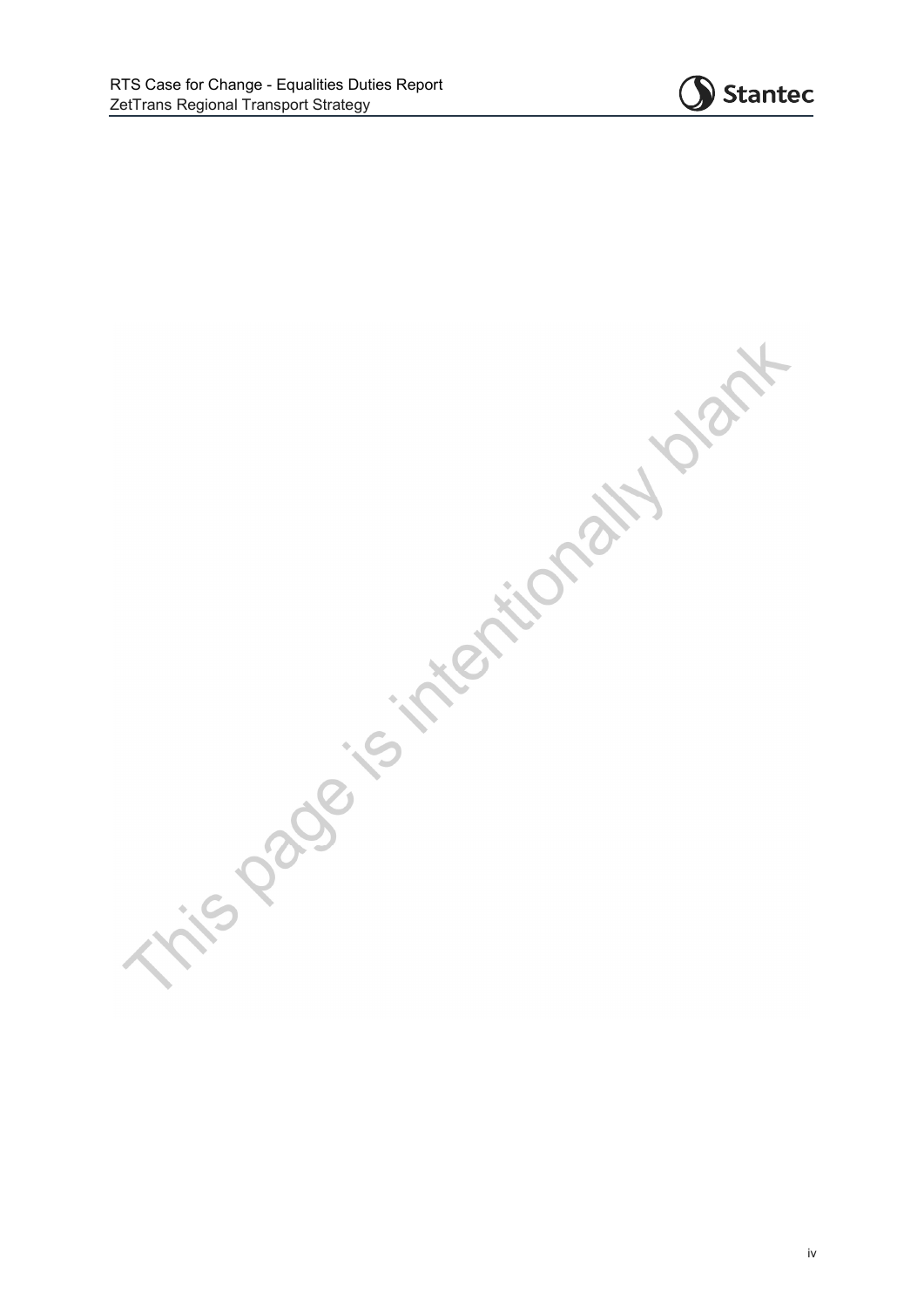

This page is intentionally bank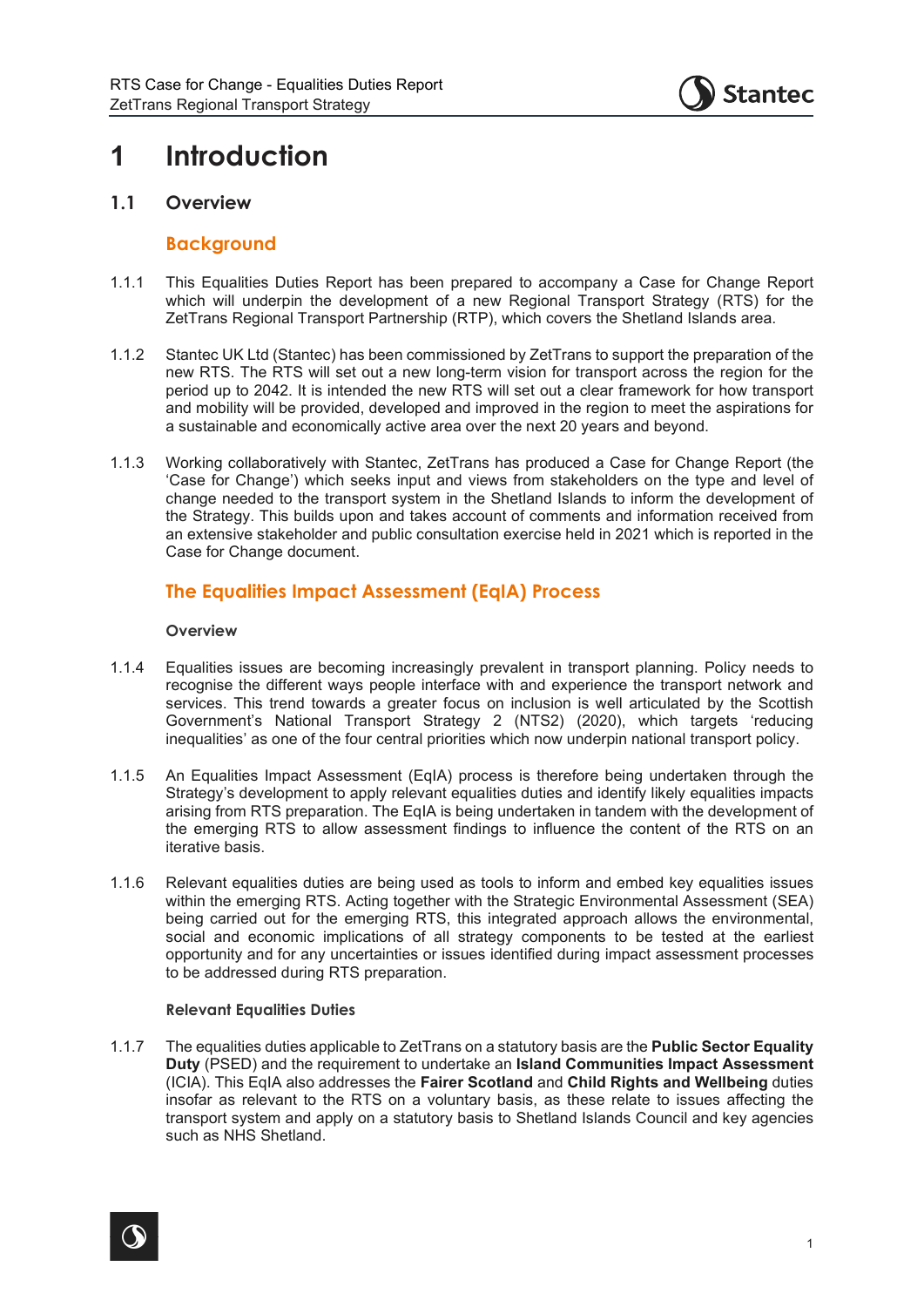

## 1 Introduction

## 1.1 Overview

#### Background

- 1.1.1 This Equalities Duties Report has been prepared to accompany a Case for Change Report which will underpin the development of a new Regional Transport Strategy (RTS) for the ZetTrans Regional Transport Partnership (RTP), which covers the Shetland Islands area.
- 1.1.2 Stantec UK Ltd (Stantec) has been commissioned by ZetTrans to support the preparation of the new RTS. The RTS will set out a new long-term vision for transport across the region for the period up to 2042. It is intended the new RTS will set out a clear framework for how transport and mobility will be provided, developed and improved in the region to meet the aspirations for a sustainable and economically active area over the next 20 years and beyond.
- 1.1.3 Working collaboratively with Stantec, ZetTrans has produced a Case for Change Report (the 'Case for Change') which seeks input and views from stakeholders on the type and level of change needed to the transport system in the Shetland Islands to inform the development of the Strategy. This builds upon and takes account of comments and information received from an extensive stakeholder and public consultation exercise held in 2021 which is reported in the Case for Change document.

## The Equalities Impact Assessment (EqIA) Process

#### Overview

- 1.1.4 Equalities issues are becoming increasingly prevalent in transport planning. Policy needs to recognise the different ways people interface with and experience the transport network and services. This trend towards a greater focus on inclusion is well articulated by the Scottish Government's National Transport Strategy 2 (NTS2) (2020), which targets 'reducing inequalities' as one of the four central priorities which now underpin national transport policy.
- 1.1.5 An Equalities Impact Assessment (EqIA) process is therefore being undertaken through the Strategy's development to apply relevant equalities duties and identify likely equalities impacts arising from RTS preparation. The EqIA is being undertaken in tandem with the development of the emerging RTS to allow assessment findings to influence the content of the RTS on an iterative basis.
- 1.1.6 Relevant equalities duties are being used as tools to inform and embed key equalities issues within the emerging RTS. Acting together with the Strategic Environmental Assessment (SEA) being carried out for the emerging RTS, this integrated approach allows the environmental, social and economic implications of all strategy components to be tested at the earliest opportunity and for any uncertainties or issues identified during impact assessment processes to be addressed during RTS preparation.

#### Relevant Equalities Duties

1.1.7 The equalities duties applicable to ZetTrans on a statutory basis are the **Public Sector Equality** Duty (PSED) and the requirement to undertake an Island Communities Impact Assessment (ICIA). This EqIA also addresses the Fairer Scotland and Child Rights and Wellbeing duties insofar as relevant to the RTS on a voluntary basis, as these relate to issues affecting the transport system and apply on a statutory basis to Shetland Islands Council and key agencies such as NHS Shetland.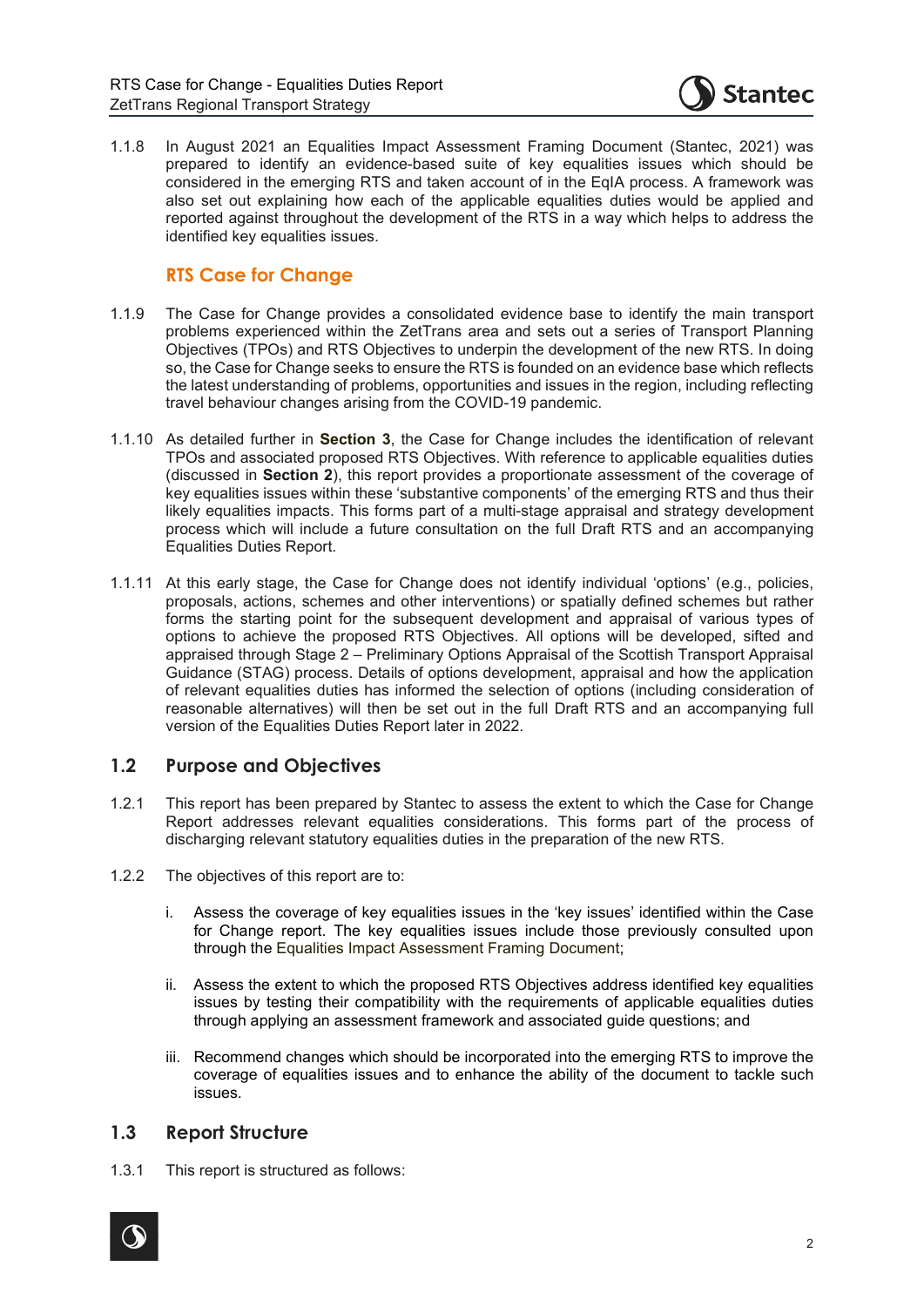

1.1.8 In August 2021 an Equalities Impact Assessment Framing Document (Stantec, 2021) was prepared to identify an evidence-based suite of key equalities issues which should be considered in the emerging RTS and taken account of in the EqIA process. A framework was also set out explaining how each of the applicable equalities duties would be applied and reported against throughout the development of the RTS in a way which helps to address the identified key equalities issues.

## RTS Case for Change

- 1.1.9 The Case for Change provides a consolidated evidence base to identify the main transport problems experienced within the ZetTrans area and sets out a series of Transport Planning Objectives (TPOs) and RTS Objectives to underpin the development of the new RTS. In doing so, the Case for Change seeks to ensure the RTS is founded on an evidence base which reflects the latest understanding of problems, opportunities and issues in the region, including reflecting travel behaviour changes arising from the COVID-19 pandemic.
- 1.1.10 As detailed further in **Section 3**, the Case for Change includes the identification of relevant TPOs and associated proposed RTS Objectives. With reference to applicable equalities duties (discussed in Section 2), this report provides a proportionate assessment of the coverage of key equalities issues within these 'substantive components' of the emerging RTS and thus their likely equalities impacts. This forms part of a multi-stage appraisal and strategy development process which will include a future consultation on the full Draft RTS and an accompanying Equalities Duties Report.
- 1.1.11 At this early stage, the Case for Change does not identify individual 'options' (e.g., policies, proposals, actions, schemes and other interventions) or spatially defined schemes but rather forms the starting point for the subsequent development and appraisal of various types of options to achieve the proposed RTS Objectives. All options will be developed, sifted and appraised through Stage 2 – Preliminary Options Appraisal of the Scottish Transport Appraisal Guidance (STAG) process. Details of options development, appraisal and how the application of relevant equalities duties has informed the selection of options (including consideration of reasonable alternatives) will then be set out in the full Draft RTS and an accompanying full version of the Equalities Duties Report later in 2022.

### 1.2 Purpose and Objectives

- 1.2.1 This report has been prepared by Stantec to assess the extent to which the Case for Change Report addresses relevant equalities considerations. This forms part of the process of discharging relevant statutory equalities duties in the preparation of the new RTS.
- 1.2.2 The objectives of this report are to:
	- i. Assess the coverage of key equalities issues in the 'key issues' identified within the Case for Change report. The key equalities issues include those previously consulted upon through the Equalities Impact Assessment Framing Document;
	- ii. Assess the extent to which the proposed RTS Objectives address identified key equalities issues by testing their compatibility with the requirements of applicable equalities duties through applying an assessment framework and associated guide questions; and
	- iii. Recommend changes which should be incorporated into the emerging RTS to improve the coverage of equalities issues and to enhance the ability of the document to tackle such issues.

### 1.3 Report Structure

1.3.1 This report is structured as follows:

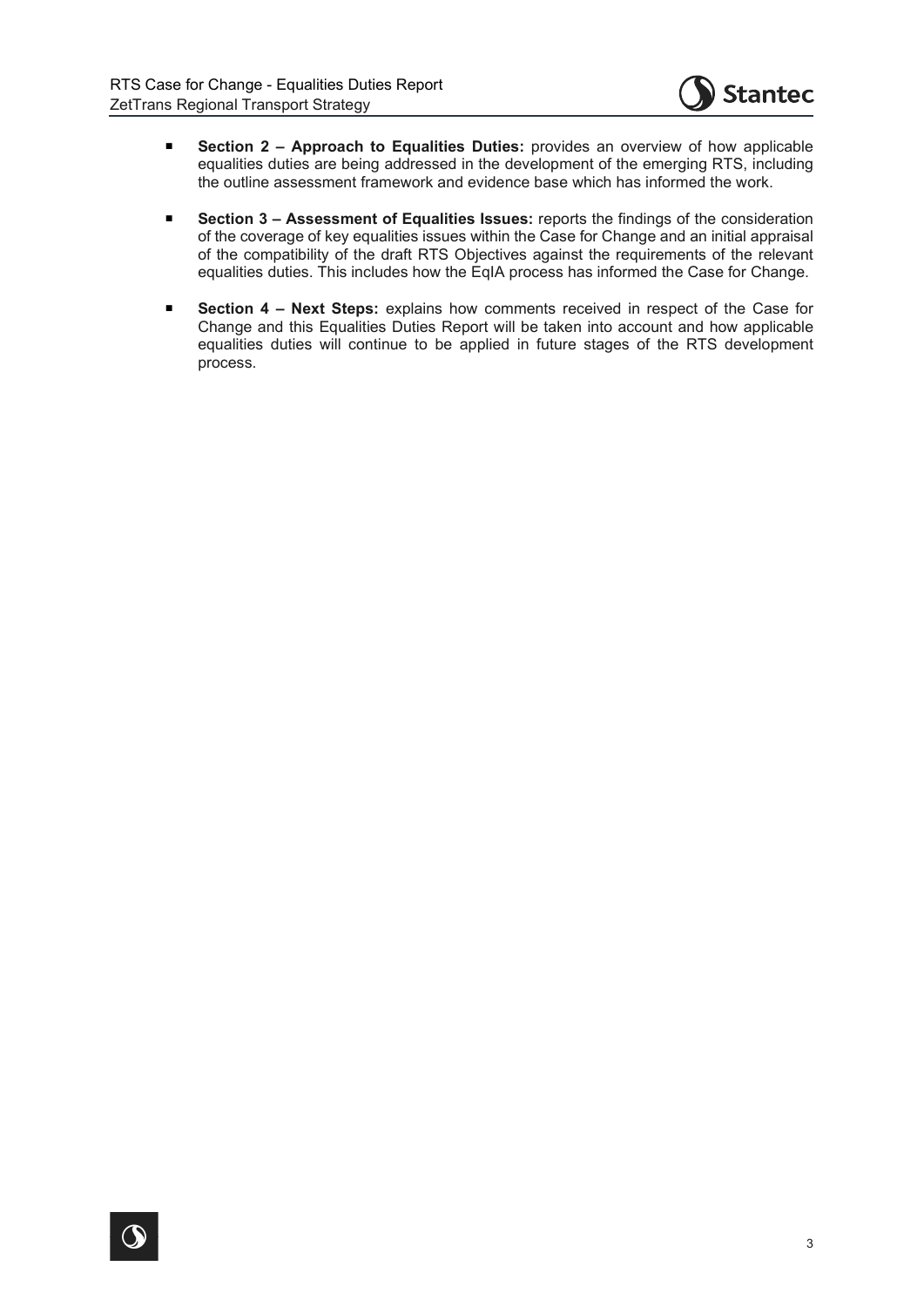

- Section 2 Approach to Equalities Duties: provides an overview of how applicable equalities duties are being addressed in the development of the emerging RTS, including the outline assessment framework and evidence base which has informed the work.
- Section 3 Assessment of Equalities Issues: reports the findings of the consideration of the coverage of key equalities issues within the Case for Change and an initial appraisal of the compatibility of the draft RTS Objectives against the requirements of the relevant equalities duties. This includes how the EqIA process has informed the Case for Change.
- Section 4 Next Steps: explains how comments received in respect of the Case for Change and this Equalities Duties Report will be taken into account and how applicable equalities duties will continue to be applied in future stages of the RTS development process.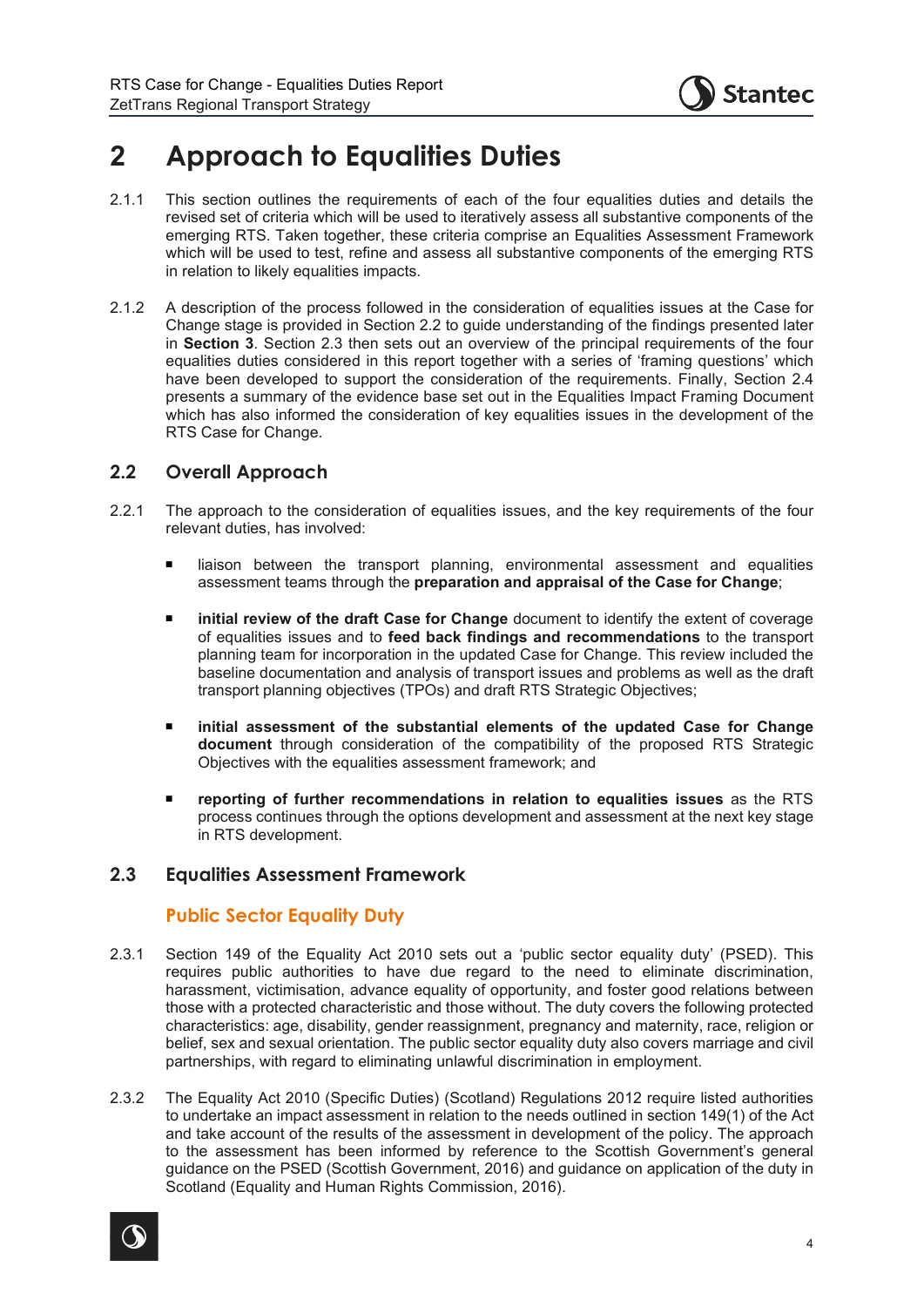

## 2 Approach to Equalities Duties

- 2.1.1 This section outlines the requirements of each of the four equalities duties and details the revised set of criteria which will be used to iteratively assess all substantive components of the emerging RTS. Taken together, these criteria comprise an Equalities Assessment Framework which will be used to test, refine and assess all substantive components of the emerging RTS in relation to likely equalities impacts.
- 2.1.2 A description of the process followed in the consideration of equalities issues at the Case for Change stage is provided in Section 2.2 to guide understanding of the findings presented later in Section 3. Section 2.3 then sets out an overview of the principal requirements of the four equalities duties considered in this report together with a series of 'framing questions' which have been developed to support the consideration of the requirements. Finally, Section 2.4 presents a summary of the evidence base set out in the Equalities Impact Framing Document which has also informed the consideration of key equalities issues in the development of the RTS Case for Change.

## 2.2 Overall Approach

- 2.2.1 The approach to the consideration of equalities issues, and the key requirements of the four relevant duties, has involved:
	- **Iliaison between the transport planning, environmental assessment and equalities** assessment teams through the preparation and appraisal of the Case for Change;
	- **Initial review of the draft Case for Change** document to identify the extent of coverage of equalities issues and to feed back findings and recommendations to the transport planning team for incorporation in the updated Case for Change. This review included the baseline documentation and analysis of transport issues and problems as well as the draft transport planning objectives (TPOs) and draft RTS Strategic Objectives;
	- initial assessment of the substantial elements of the updated Case for Change document through consideration of the compatibility of the proposed RTS Strategic Objectives with the equalities assessment framework; and
	- reporting of further recommendations in relation to equalities issues as the RTS process continues through the options development and assessment at the next key stage in RTS development.

## 2.3 Equalities Assessment Framework

### Public Sector Equality Duty

- 2.3.1 Section 149 of the Equality Act 2010 sets out a 'public sector equality duty' (PSED). This requires public authorities to have due regard to the need to eliminate discrimination, harassment, victimisation, advance equality of opportunity, and foster good relations between those with a protected characteristic and those without. The duty covers the following protected characteristics: age, disability, gender reassignment, pregnancy and maternity, race, religion or belief, sex and sexual orientation. The public sector equality duty also covers marriage and civil partnerships, with regard to eliminating unlawful discrimination in employment.
- 2.3.2 The Equality Act 2010 (Specific Duties) (Scotland) Regulations 2012 require listed authorities to undertake an impact assessment in relation to the needs outlined in section 149(1) of the Act and take account of the results of the assessment in development of the policy. The approach to the assessment has been informed by reference to the Scottish Government's general guidance on the PSED (Scottish Government, 2016) and guidance on application of the duty in Scotland (Equality and Human Rights Commission, 2016).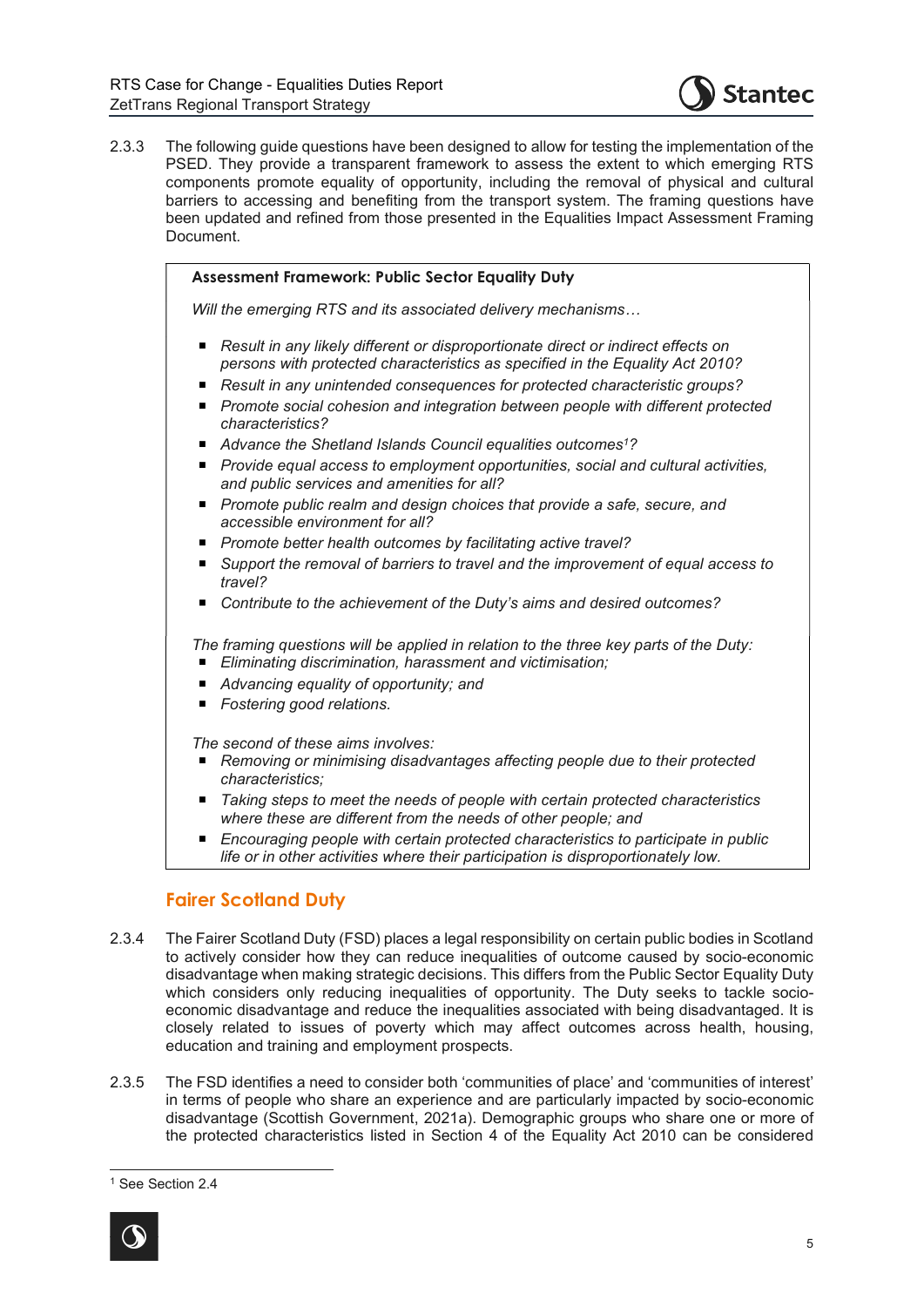

2.3.3 The following guide questions have been designed to allow for testing the implementation of the PSED. They provide a transparent framework to assess the extent to which emerging RTS components promote equality of opportunity, including the removal of physical and cultural barriers to accessing and benefiting from the transport system. The framing questions have been updated and refined from those presented in the Equalities Impact Assessment Framing Document.

| <b>Assessment Framework: Public Sector Equality Duty</b>                                                                                                                                                                                                                                                                                                                                                                                                                                                                                                                                                                                                                                                                                                                           |  |  |  |
|------------------------------------------------------------------------------------------------------------------------------------------------------------------------------------------------------------------------------------------------------------------------------------------------------------------------------------------------------------------------------------------------------------------------------------------------------------------------------------------------------------------------------------------------------------------------------------------------------------------------------------------------------------------------------------------------------------------------------------------------------------------------------------|--|--|--|
| Will the emerging RTS and its associated delivery mechanisms                                                                                                                                                                                                                                                                                                                                                                                                                                                                                                                                                                                                                                                                                                                       |  |  |  |
| Result in any likely different or disproportionate direct or indirect effects on<br>п<br>persons with protected characteristics as specified in the Equality Act 2010?<br>Result in any unintended consequences for protected characteristic groups?<br>п<br>Promote social cohesion and integration between people with different protected<br>п<br>characteristics?<br>Advance the Shetland Islands Council equalities outcomes <sup>1</sup> ?<br>ш<br>Provide equal access to employment opportunities, social and cultural activities,<br>٠<br>and public services and amenities for all?<br>Promote public realm and design choices that provide a safe, secure, and<br>п<br>accessible environment for all?<br>Promote better health outcomes by facilitating active travel? |  |  |  |
| Support the removal of barriers to travel and the improvement of equal access to<br>п<br>travel?                                                                                                                                                                                                                                                                                                                                                                                                                                                                                                                                                                                                                                                                                   |  |  |  |
| Contribute to the achievement of the Duty's aims and desired outcomes?                                                                                                                                                                                                                                                                                                                                                                                                                                                                                                                                                                                                                                                                                                             |  |  |  |
| The framing questions will be applied in relation to the three key parts of the Duty:<br>Eliminating discrimination, harassment and victimisation;<br>п<br>Advancing equality of opportunity; and<br>п<br>Fostering good relations.<br>п                                                                                                                                                                                                                                                                                                                                                                                                                                                                                                                                           |  |  |  |
| The second of these aims involves:<br>Removing or minimising disadvantages affecting people due to their protected<br>п<br>characteristics:<br>Taking steps to meet the needs of people with certain protected characteristics<br>п<br>where these are different from the needs of other people; and                                                                                                                                                                                                                                                                                                                                                                                                                                                                               |  |  |  |

**Encouraging people with certain protected characteristics to participate in public** life or in other activities where their participation is disproportionately low.

## Fairer Scotland Duty

- 2.3.4 The Fairer Scotland Duty (FSD) places a legal responsibility on certain public bodies in Scotland to actively consider how they can reduce inequalities of outcome caused by socio-economic disadvantage when making strategic decisions. This differs from the Public Sector Equality Duty which considers only reducing inequalities of opportunity. The Duty seeks to tackle socioeconomic disadvantage and reduce the inequalities associated with being disadvantaged. It is closely related to issues of poverty which may affect outcomes across health, housing, education and training and employment prospects.
- 2.3.5 The FSD identifies a need to consider both 'communities of place' and 'communities of interest' in terms of people who share an experience and are particularly impacted by socio-economic disadvantage (Scottish Government, 2021a). Demographic groups who share one or more of the protected characteristics listed in Section 4 of the Equality Act 2010 can be considered

<sup>1</sup> See Section 2.4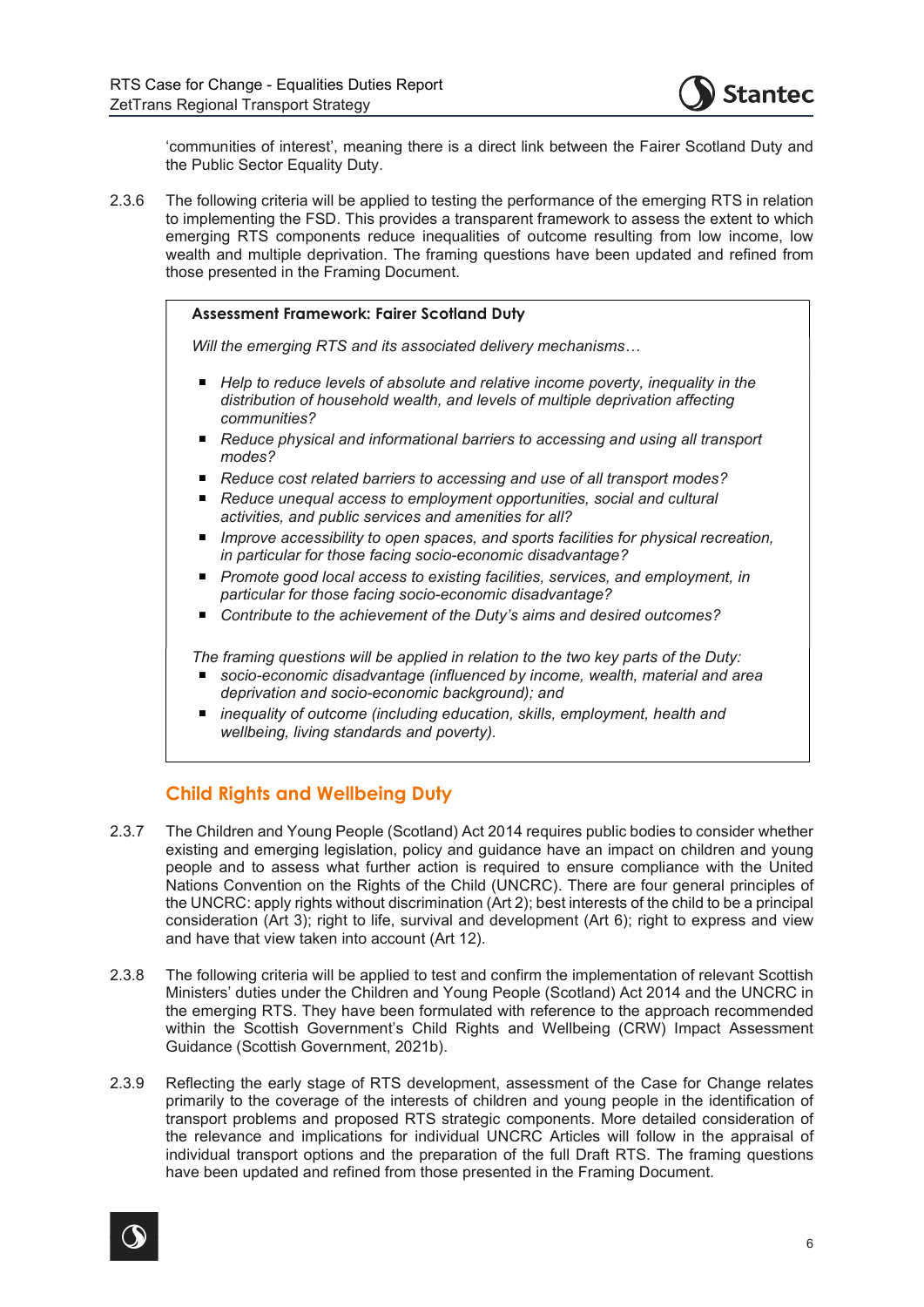

'communities of interest', meaning there is a direct link between the Fairer Scotland Duty and the Public Sector Equality Duty.

2.3.6 The following criteria will be applied to testing the performance of the emerging RTS in relation to implementing the FSD. This provides a transparent framework to assess the extent to which emerging RTS components reduce inequalities of outcome resulting from low income, low wealth and multiple deprivation. The framing questions have been updated and refined from those presented in the Framing Document.

| <b>Assessment Framework: Fairer Scotland Duty</b>                                                                                                                                                                                                                                                                                                 |  |  |  |
|---------------------------------------------------------------------------------------------------------------------------------------------------------------------------------------------------------------------------------------------------------------------------------------------------------------------------------------------------|--|--|--|
| Will the emerging RTS and its associated delivery mechanisms                                                                                                                                                                                                                                                                                      |  |  |  |
| Help to reduce levels of absolute and relative income poverty, inequality in the<br>distribution of household wealth, and levels of multiple deprivation affecting<br>communities?                                                                                                                                                                |  |  |  |
| Reduce physical and informational barriers to accessing and using all transport<br>modes?                                                                                                                                                                                                                                                         |  |  |  |
| Reduce cost related barriers to accessing and use of all transport modes?                                                                                                                                                                                                                                                                         |  |  |  |
| Reduce unequal access to employment opportunities, social and cultural<br>activities, and public services and amenities for all?                                                                                                                                                                                                                  |  |  |  |
| Improve accessibility to open spaces, and sports facilities for physical recreation,<br>in particular for those facing socio-economic disadvantage?                                                                                                                                                                                               |  |  |  |
| Promote good local access to existing facilities, services, and employment, in<br>п<br>particular for those facing socio-economic disadvantage?                                                                                                                                                                                                   |  |  |  |
| Contribute to the achievement of the Duty's aims and desired outcomes?                                                                                                                                                                                                                                                                            |  |  |  |
| The framing questions will be applied in relation to the two key parts of the Duty:<br>socio-economic disadvantage (influenced by income, wealth, material and area<br>deprivation and socio-economic background); and<br>inequality of outcome (including education, skills, employment, health and<br>wellbeing, living standards and poverty). |  |  |  |
|                                                                                                                                                                                                                                                                                                                                                   |  |  |  |

## Child Rights and Wellbeing Duty

- 2.3.7 The Children and Young People (Scotland) Act 2014 requires public bodies to consider whether existing and emerging legislation, policy and guidance have an impact on children and young people and to assess what further action is required to ensure compliance with the United Nations Convention on the Rights of the Child (UNCRC). There are four general principles of the UNCRC: apply rights without discrimination (Art 2); best interests of the child to be a principal consideration (Art 3); right to life, survival and development (Art 6); right to express and view and have that view taken into account (Art 12).
- 2.3.8 The following criteria will be applied to test and confirm the implementation of relevant Scottish Ministers' duties under the Children and Young People (Scotland) Act 2014 and the UNCRC in the emerging RTS. They have been formulated with reference to the approach recommended within the Scottish Government's Child Rights and Wellbeing (CRW) Impact Assessment Guidance (Scottish Government, 2021b).
- 2.3.9 Reflecting the early stage of RTS development, assessment of the Case for Change relates primarily to the coverage of the interests of children and young people in the identification of transport problems and proposed RTS strategic components. More detailed consideration of the relevance and implications for individual UNCRC Articles will follow in the appraisal of individual transport options and the preparation of the full Draft RTS. The framing questions have been updated and refined from those presented in the Framing Document.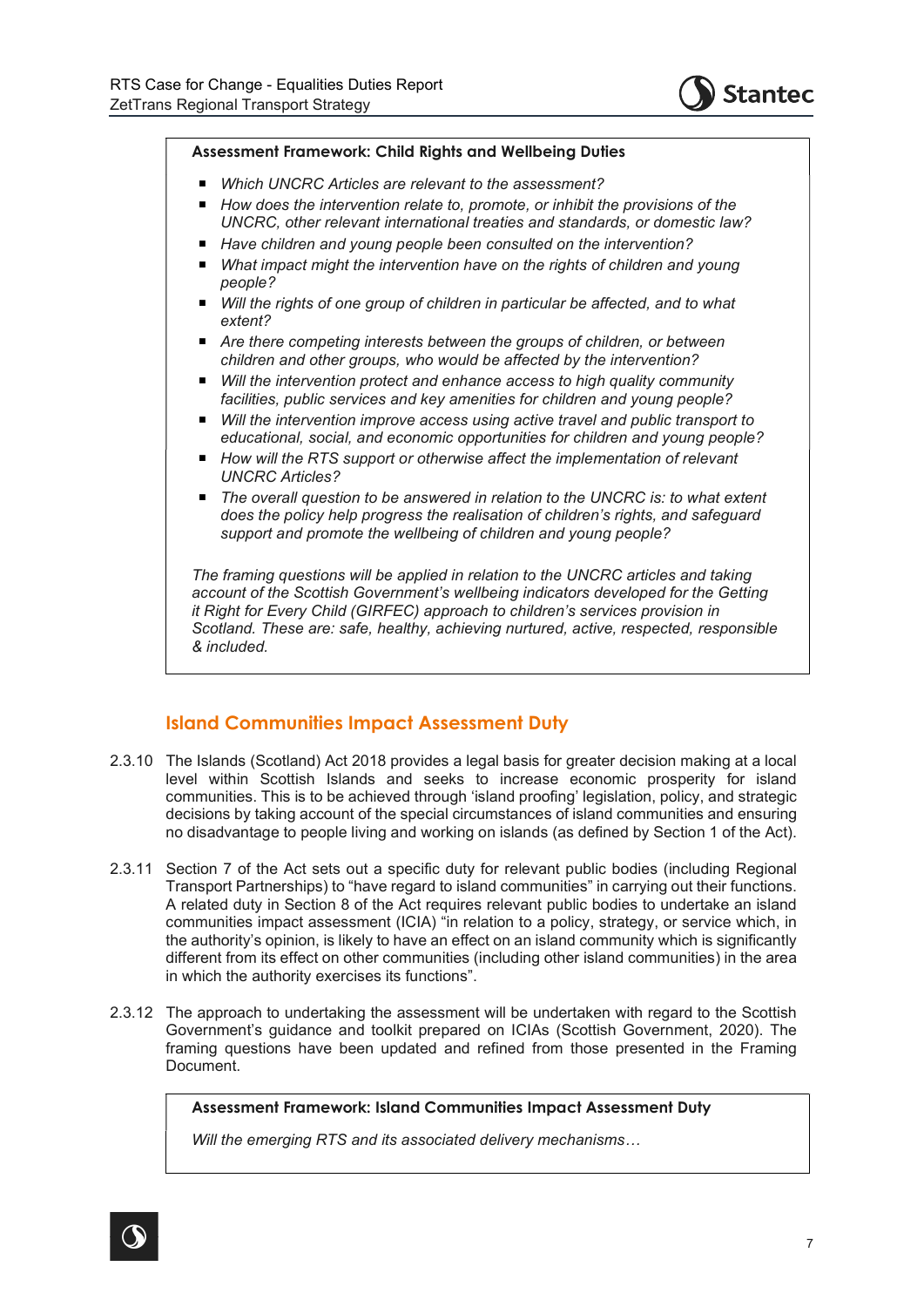

#### Assessment Framework: Child Rights and Wellbeing Duties

- Which UNCRC Articles are relevant to the assessment?
- $\blacksquare$  How does the intervention relate to, promote, or inhibit the provisions of the UNCRC, other relevant international treaties and standards, or domestic law?
- Have children and young people been consulted on the intervention?
- What impact might the intervention have on the rights of children and young people?
- Will the rights of one group of children in particular be affected, and to what extent?
- Are there competing interests between the groups of children, or between children and other groups, who would be affected by the intervention?
- Will the intervention protect and enhance access to high quality community facilities, public services and key amenities for children and young people?
- Will the intervention improve access using active travel and public transport to educational, social, and economic opportunities for children and young people?
- How will the RTS support or otherwise affect the implementation of relevant UNCRC Articles?
- The overall question to be answered in relation to the UNCRC is: to what extent does the policy help progress the realisation of children's rights, and safeguard support and promote the wellbeing of children and young people?

The framing questions will be applied in relation to the UNCRC articles and taking account of the Scottish Government's wellbeing indicators developed for the Getting it Right for Every Child (GIRFEC) approach to children's services provision in Scotland. These are: safe, healthy, achieving nurtured, active, respected, responsible & included.

## Island Communities Impact Assessment Duty

- 2.3.10 The Islands (Scotland) Act 2018 provides a legal basis for greater decision making at a local level within Scottish Islands and seeks to increase economic prosperity for island communities. This is to be achieved through 'island proofing' legislation, policy, and strategic decisions by taking account of the special circumstances of island communities and ensuring no disadvantage to people living and working on islands (as defined by Section 1 of the Act).
- 2.3.11 Section 7 of the Act sets out a specific duty for relevant public bodies (including Regional Transport Partnerships) to "have regard to island communities" in carrying out their functions. A related duty in Section 8 of the Act requires relevant public bodies to undertake an island communities impact assessment (ICIA) "in relation to a policy, strategy, or service which, in the authority's opinion, is likely to have an effect on an island community which is significantly different from its effect on other communities (including other island communities) in the area in which the authority exercises its functions".
- 2.3.12 The approach to undertaking the assessment will be undertaken with regard to the Scottish Government's guidance and toolkit prepared on ICIAs (Scottish Government, 2020). The framing questions have been updated and refined from those presented in the Framing Document.

Assessment Framework: Island Communities Impact Assessment Duty

Will the emerging RTS and its associated delivery mechanisms...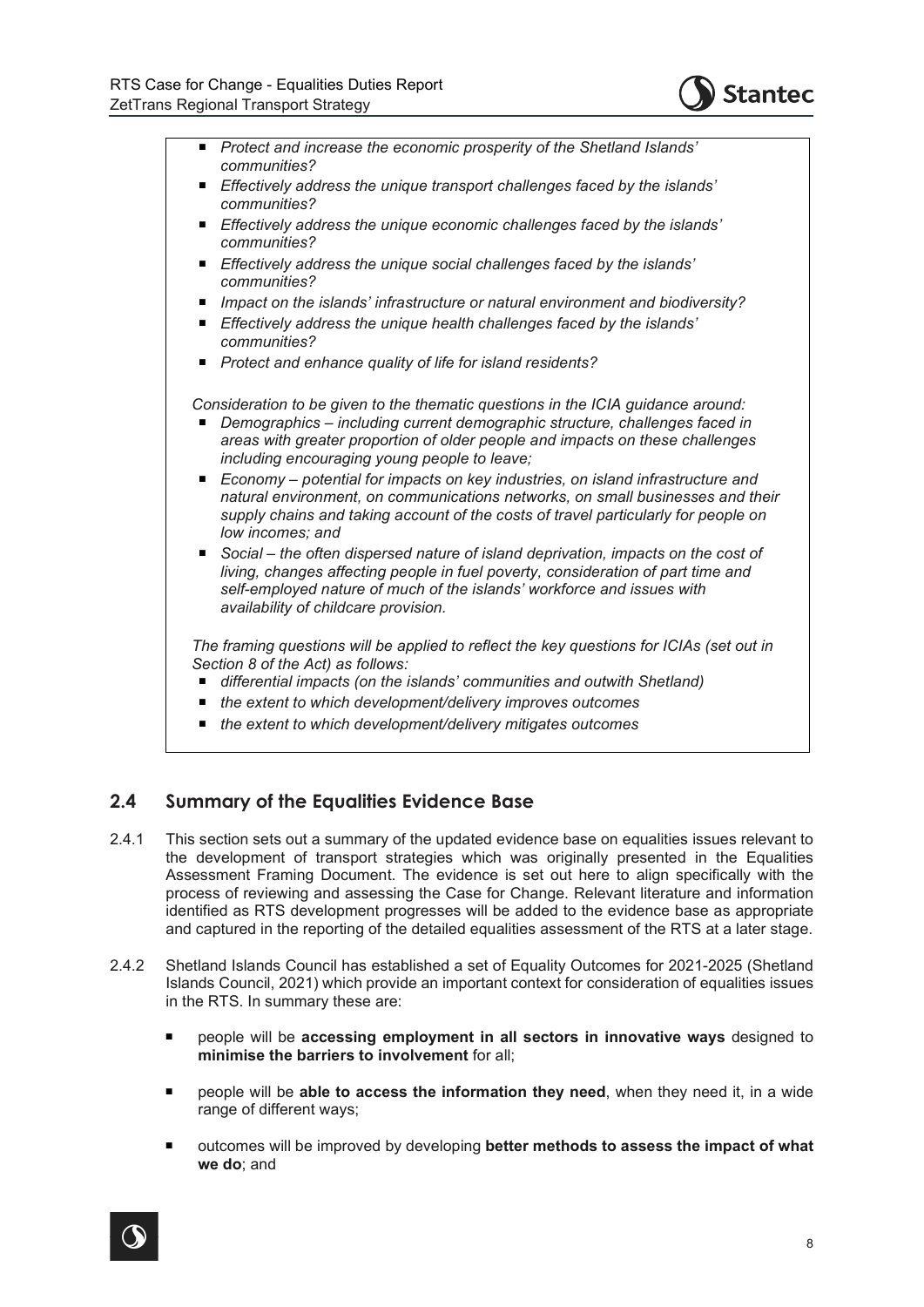

| Protect and increase the economic prosperity of the Shetland Islands'<br>п<br>communities?                                                                                                                                                                                                                                                                                                                                                                                                                                                                                                                                                                                                                                                                                                                                                                                           |  |
|--------------------------------------------------------------------------------------------------------------------------------------------------------------------------------------------------------------------------------------------------------------------------------------------------------------------------------------------------------------------------------------------------------------------------------------------------------------------------------------------------------------------------------------------------------------------------------------------------------------------------------------------------------------------------------------------------------------------------------------------------------------------------------------------------------------------------------------------------------------------------------------|--|
| Effectively address the unique transport challenges faced by the islands'<br>п<br>communities?                                                                                                                                                                                                                                                                                                                                                                                                                                                                                                                                                                                                                                                                                                                                                                                       |  |
| Effectively address the unique economic challenges faced by the islands'<br>п<br>communities?                                                                                                                                                                                                                                                                                                                                                                                                                                                                                                                                                                                                                                                                                                                                                                                        |  |
| Effectively address the unique social challenges faced by the islands'<br>п<br>communities?                                                                                                                                                                                                                                                                                                                                                                                                                                                                                                                                                                                                                                                                                                                                                                                          |  |
| Impact on the islands' infrastructure or natural environment and biodiversity?<br>п                                                                                                                                                                                                                                                                                                                                                                                                                                                                                                                                                                                                                                                                                                                                                                                                  |  |
| Effectively address the unique health challenges faced by the islands'<br>■<br>communities?                                                                                                                                                                                                                                                                                                                                                                                                                                                                                                                                                                                                                                                                                                                                                                                          |  |
| Protect and enhance quality of life for island residents?<br>п                                                                                                                                                                                                                                                                                                                                                                                                                                                                                                                                                                                                                                                                                                                                                                                                                       |  |
| Consideration to be given to the thematic questions in the ICIA guidance around:<br>Demographics - including current demographic structure, challenges faced in<br>areas with greater proportion of older people and impacts on these challenges<br>including encouraging young people to leave;<br>Economy – potential for impacts on key industries, on island infrastructure and<br>п<br>natural environment, on communications networks, on small businesses and their<br>supply chains and taking account of the costs of travel particularly for people on<br>low incomes; and<br>Social – the often dispersed nature of island deprivation, impacts on the cost of<br>п<br>living, changes affecting people in fuel poverty, consideration of part time and<br>self-employed nature of much of the islands' workforce and issues with<br>availability of childcare provision. |  |
| The framing questions will be applied to reflect the key questions for ICIAs (set out in<br>Section 8 of the Act) as follows:<br>differential impacts (on the islands' communities and outwith Shetland)<br>the extent to which development/delivery improves outcomes<br>п                                                                                                                                                                                                                                                                                                                                                                                                                                                                                                                                                                                                          |  |
| the extent to which development/delivery mitigates outcomes<br>п                                                                                                                                                                                                                                                                                                                                                                                                                                                                                                                                                                                                                                                                                                                                                                                                                     |  |

## 2.4 Summary of the Equalities Evidence Base

- 2.4.1 This section sets out a summary of the updated evidence base on equalities issues relevant to the development of transport strategies which was originally presented in the Equalities Assessment Framing Document. The evidence is set out here to align specifically with the process of reviewing and assessing the Case for Change. Relevant literature and information identified as RTS development progresses will be added to the evidence base as appropriate and captured in the reporting of the detailed equalities assessment of the RTS at a later stage.
- 2.4.2 Shetland Islands Council has established a set of Equality Outcomes for 2021-2025 (Shetland Islands Council, 2021) which provide an important context for consideration of equalities issues in the RTS. In summary these are:
	- **People will be accessing employment in all sectors in innovative ways** designed to minimise the barriers to involvement for all;
	- **People will be able to access the information they need, when they need it, in a wide** range of different ways;
	- outcomes will be improved by developing better methods to assess the impact of what we do; and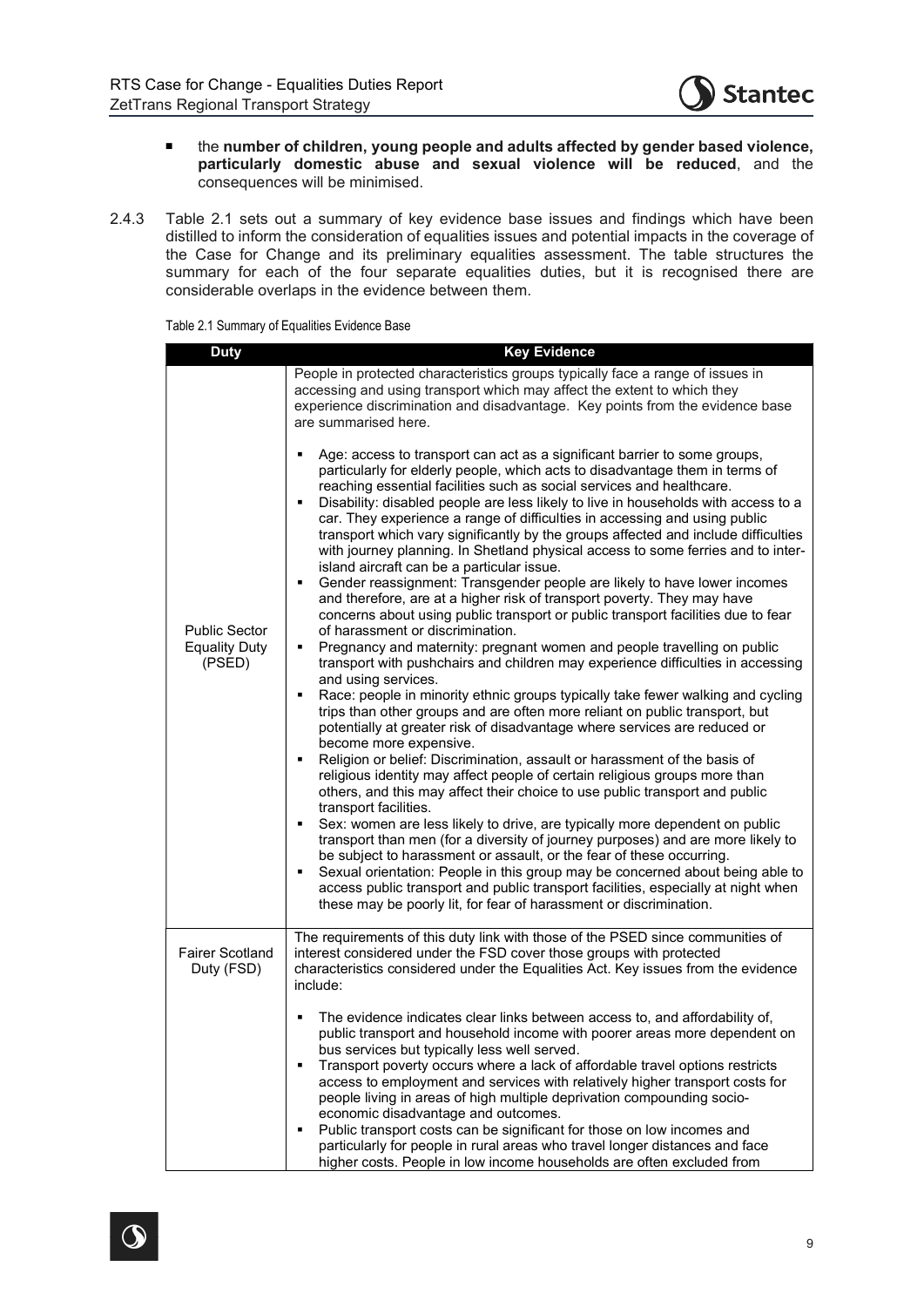

- the number of children, young people and adults affected by gender based violence, particularly domestic abuse and sexual violence will be reduced, and the consequences will be minimised.
- 2.4.3 Table 2.1 sets out a summary of key evidence base issues and findings which have been distilled to inform the consideration of equalities issues and potential impacts in the coverage of the Case for Change and its preliminary equalities assessment. The table structures the summary for each of the four separate equalities duties, but it is recognised there are considerable overlaps in the evidence between them.

| <b>Duty</b>                                            | <b>Key Evidence</b>                                                                                                                                                                                                                                                                                                                                                                                                                                                                                                                                                                                                                                                                                                                                                                                                                                                                                                                                                                                                                                                                                                                                                                                                                                                                                                                                                                                                                                                                                                                                                                                                                                                                                                                                                                                                                                                                                                                                                                                                                                                                                                                                                     |
|--------------------------------------------------------|-------------------------------------------------------------------------------------------------------------------------------------------------------------------------------------------------------------------------------------------------------------------------------------------------------------------------------------------------------------------------------------------------------------------------------------------------------------------------------------------------------------------------------------------------------------------------------------------------------------------------------------------------------------------------------------------------------------------------------------------------------------------------------------------------------------------------------------------------------------------------------------------------------------------------------------------------------------------------------------------------------------------------------------------------------------------------------------------------------------------------------------------------------------------------------------------------------------------------------------------------------------------------------------------------------------------------------------------------------------------------------------------------------------------------------------------------------------------------------------------------------------------------------------------------------------------------------------------------------------------------------------------------------------------------------------------------------------------------------------------------------------------------------------------------------------------------------------------------------------------------------------------------------------------------------------------------------------------------------------------------------------------------------------------------------------------------------------------------------------------------------------------------------------------------|
|                                                        | People in protected characteristics groups typically face a range of issues in<br>accessing and using transport which may affect the extent to which they<br>experience discrimination and disadvantage. Key points from the evidence base<br>are summarised here.                                                                                                                                                                                                                                                                                                                                                                                                                                                                                                                                                                                                                                                                                                                                                                                                                                                                                                                                                                                                                                                                                                                                                                                                                                                                                                                                                                                                                                                                                                                                                                                                                                                                                                                                                                                                                                                                                                      |
| <b>Public Sector</b><br><b>Equality Duty</b><br>(PSED) | Age: access to transport can act as a significant barrier to some groups,<br>particularly for elderly people, which acts to disadvantage them in terms of<br>reaching essential facilities such as social services and healthcare.<br>Disability: disabled people are less likely to live in households with access to a<br>Ξ<br>car. They experience a range of difficulties in accessing and using public<br>transport which vary significantly by the groups affected and include difficulties<br>with journey planning. In Shetland physical access to some ferries and to inter-<br>island aircraft can be a particular issue.<br>Gender reassignment: Transgender people are likely to have lower incomes<br>٠<br>and therefore, are at a higher risk of transport poverty. They may have<br>concerns about using public transport or public transport facilities due to fear<br>of harassment or discrimination.<br>Pregnancy and maternity: pregnant women and people travelling on public<br>٠<br>transport with pushchairs and children may experience difficulties in accessing<br>and using services.<br>Race: people in minority ethnic groups typically take fewer walking and cycling<br>П<br>trips than other groups and are often more reliant on public transport, but<br>potentially at greater risk of disadvantage where services are reduced or<br>become more expensive.<br>Religion or belief: Discrimination, assault or harassment of the basis of<br>٠<br>religious identity may affect people of certain religious groups more than<br>others, and this may affect their choice to use public transport and public<br>transport facilities.<br>Sex: women are less likely to drive, are typically more dependent on public<br>٠<br>transport than men (for a diversity of journey purposes) and are more likely to<br>be subject to harassment or assault, or the fear of these occurring.<br>Sexual orientation: People in this group may be concerned about being able to<br>٠<br>access public transport and public transport facilities, especially at night when<br>these may be poorly lit, for fear of harassment or discrimination. |
| Fairer Scotland<br>Duty (FSD)                          | The requirements of this duty link with those of the PSED since communities of<br>interest considered under the FSD cover those groups with protected<br>characteristics considered under the Equalities Act. Key issues from the evidence<br>include:                                                                                                                                                                                                                                                                                                                                                                                                                                                                                                                                                                                                                                                                                                                                                                                                                                                                                                                                                                                                                                                                                                                                                                                                                                                                                                                                                                                                                                                                                                                                                                                                                                                                                                                                                                                                                                                                                                                  |
|                                                        | The evidence indicates clear links between access to, and affordability of,<br>public transport and household income with poorer areas more dependent on<br>bus services but typically less well served.<br>Transport poverty occurs where a lack of affordable travel options restricts<br>٠<br>access to employment and services with relatively higher transport costs for<br>people living in areas of high multiple deprivation compounding socio-<br>economic disadvantage and outcomes.<br>Public transport costs can be significant for those on low incomes and<br>٠<br>particularly for people in rural areas who travel longer distances and face<br>higher costs. People in low income households are often excluded from                                                                                                                                                                                                                                                                                                                                                                                                                                                                                                                                                                                                                                                                                                                                                                                                                                                                                                                                                                                                                                                                                                                                                                                                                                                                                                                                                                                                                                   |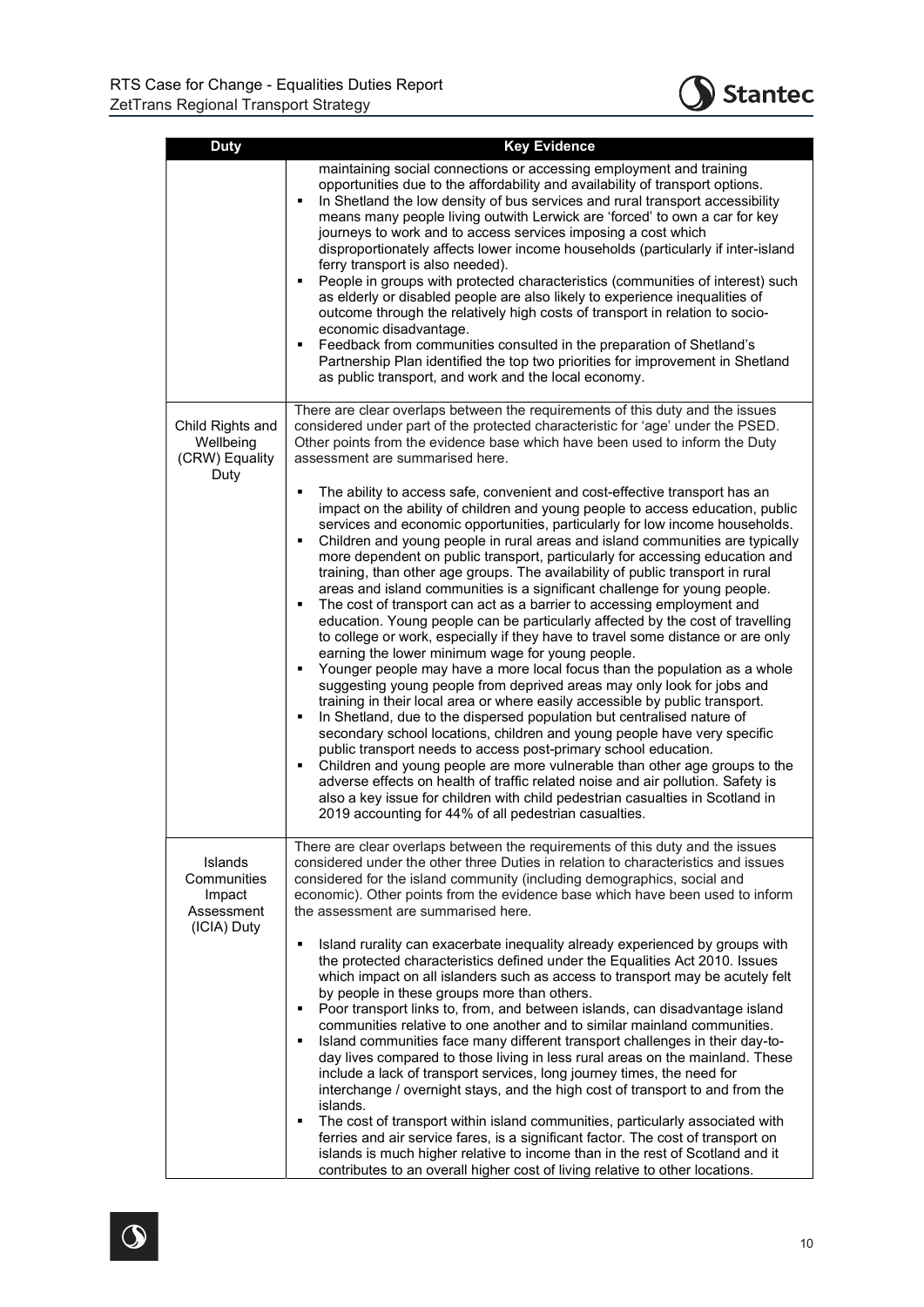

| <b>Duty</b>                                                   | <b>Key Evidence</b>                                                                                                                                                                                                                                                                                                                                                                                                                                                                                                                                                                                                                                                                                                                                                                                                                                                                                                                                                                                                                                                                                                                                                                                                                                                                                                                                                                                                                                                                                                                                                                                                                                                                                                |
|---------------------------------------------------------------|--------------------------------------------------------------------------------------------------------------------------------------------------------------------------------------------------------------------------------------------------------------------------------------------------------------------------------------------------------------------------------------------------------------------------------------------------------------------------------------------------------------------------------------------------------------------------------------------------------------------------------------------------------------------------------------------------------------------------------------------------------------------------------------------------------------------------------------------------------------------------------------------------------------------------------------------------------------------------------------------------------------------------------------------------------------------------------------------------------------------------------------------------------------------------------------------------------------------------------------------------------------------------------------------------------------------------------------------------------------------------------------------------------------------------------------------------------------------------------------------------------------------------------------------------------------------------------------------------------------------------------------------------------------------------------------------------------------------|
|                                                               | maintaining social connections or accessing employment and training<br>opportunities due to the affordability and availability of transport options.<br>In Shetland the low density of bus services and rural transport accessibility<br>$\blacksquare$<br>means many people living outwith Lerwick are 'forced' to own a car for key<br>journeys to work and to access services imposing a cost which<br>disproportionately affects lower income households (particularly if inter-island<br>ferry transport is also needed).<br>People in groups with protected characteristics (communities of interest) such<br>٠<br>as elderly or disabled people are also likely to experience inequalities of<br>outcome through the relatively high costs of transport in relation to socio-<br>economic disadvantage.<br>Feedback from communities consulted in the preparation of Shetland's<br>٠<br>Partnership Plan identified the top two priorities for improvement in Shetland<br>as public transport, and work and the local economy.                                                                                                                                                                                                                                                                                                                                                                                                                                                                                                                                                                                                                                                                              |
| Child Rights and<br>Wellbeing<br>(CRW) Equality<br>Duty       | There are clear overlaps between the requirements of this duty and the issues<br>considered under part of the protected characteristic for 'age' under the PSED.<br>Other points from the evidence base which have been used to inform the Duty<br>assessment are summarised here.                                                                                                                                                                                                                                                                                                                                                                                                                                                                                                                                                                                                                                                                                                                                                                                                                                                                                                                                                                                                                                                                                                                                                                                                                                                                                                                                                                                                                                 |
|                                                               | The ability to access safe, convenient and cost-effective transport has an<br>$\blacksquare$<br>impact on the ability of children and young people to access education, public<br>services and economic opportunities, particularly for low income households.<br>Children and young people in rural areas and island communities are typically<br>$\blacksquare$<br>more dependent on public transport, particularly for accessing education and<br>training, than other age groups. The availability of public transport in rural<br>areas and island communities is a significant challenge for young people.<br>The cost of transport can act as a barrier to accessing employment and<br>٠<br>education. Young people can be particularly affected by the cost of travelling<br>to college or work, especially if they have to travel some distance or are only<br>earning the lower minimum wage for young people.<br>Younger people may have a more local focus than the population as a whole<br>٠<br>suggesting young people from deprived areas may only look for jobs and<br>training in their local area or where easily accessible by public transport.<br>In Shetland, due to the dispersed population but centralised nature of<br>٠<br>secondary school locations, children and young people have very specific<br>public transport needs to access post-primary school education.<br>Children and young people are more vulnerable than other age groups to the<br>٠<br>adverse effects on health of traffic related noise and air pollution. Safety is<br>also a key issue for children with child pedestrian casualties in Scotland in<br>2019 accounting for 44% of all pedestrian casualties. |
| Islands<br>Communities<br>Impact<br>Assessment<br>(ICIA) Duty | There are clear overlaps between the requirements of this duty and the issues<br>considered under the other three Duties in relation to characteristics and issues<br>considered for the island community (including demographics, social and<br>economic). Other points from the evidence base which have been used to inform<br>the assessment are summarised here.<br>Island rurality can exacerbate inequality already experienced by groups with<br>$\blacksquare$<br>the protected characteristics defined under the Equalities Act 2010. Issues<br>which impact on all islanders such as access to transport may be acutely felt<br>by people in these groups more than others.<br>Poor transport links to, from, and between islands, can disadvantage island<br>٠<br>communities relative to one another and to similar mainland communities.<br>Island communities face many different transport challenges in their day-to-<br>٠<br>day lives compared to those living in less rural areas on the mainland. These<br>include a lack of transport services, long journey times, the need for<br>interchange / overnight stays, and the high cost of transport to and from the<br>islands.<br>The cost of transport within island communities, particularly associated with<br>٠<br>ferries and air service fares, is a significant factor. The cost of transport on<br>islands is much higher relative to income than in the rest of Scotland and it<br>contributes to an overall higher cost of living relative to other locations.                                                                                                                                                                     |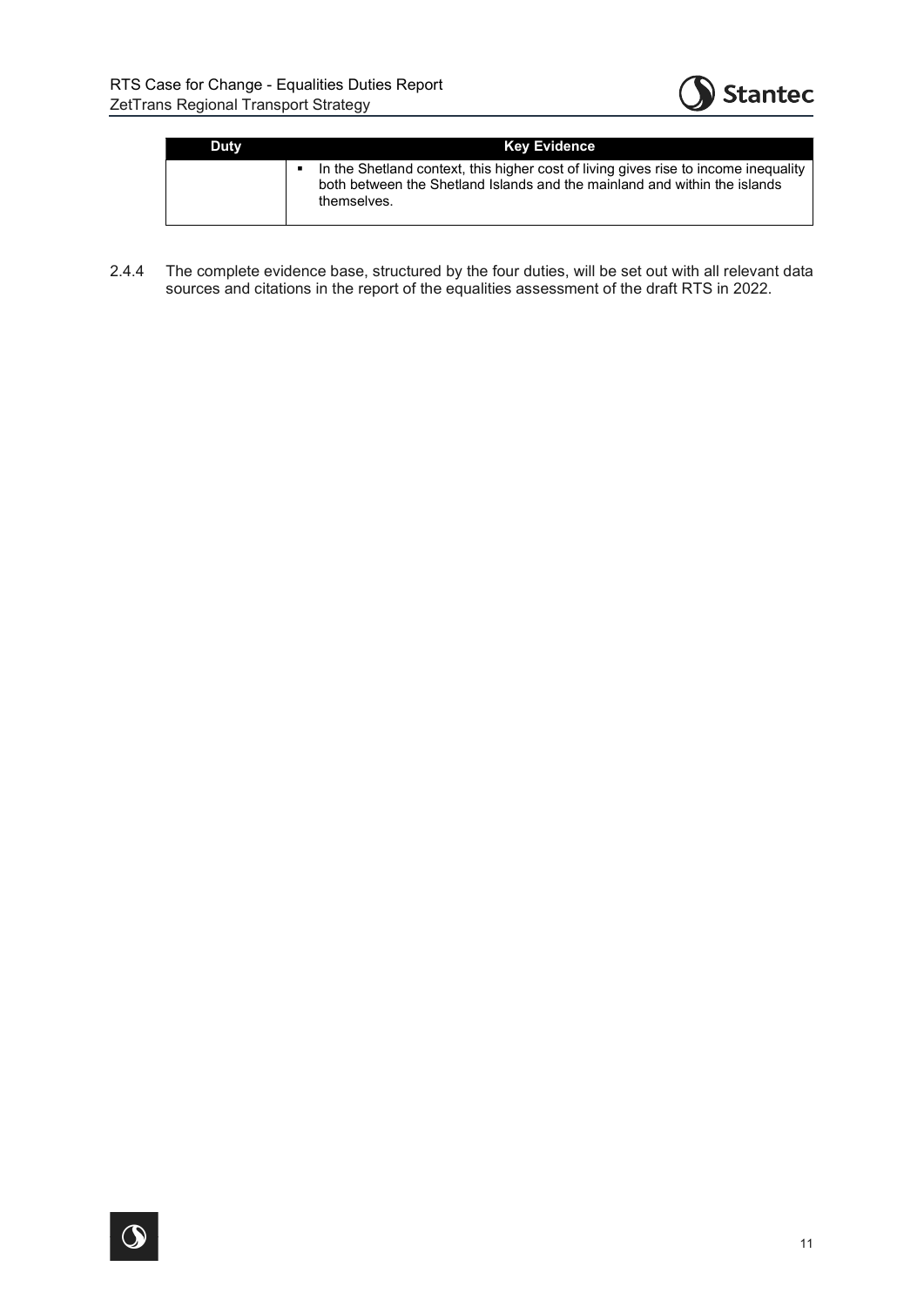

| Duty | <b>Key Evidence</b>                                                                                                                                                             |
|------|---------------------------------------------------------------------------------------------------------------------------------------------------------------------------------|
|      | In the Shetland context, this higher cost of living gives rise to income inequality<br>both between the Shetland Islands and the mainland and within the islands<br>themselves. |

2.4.4 The complete evidence base, structured by the four duties, will be set out with all relevant data sources and citations in the report of the equalities assessment of the draft RTS in 2022.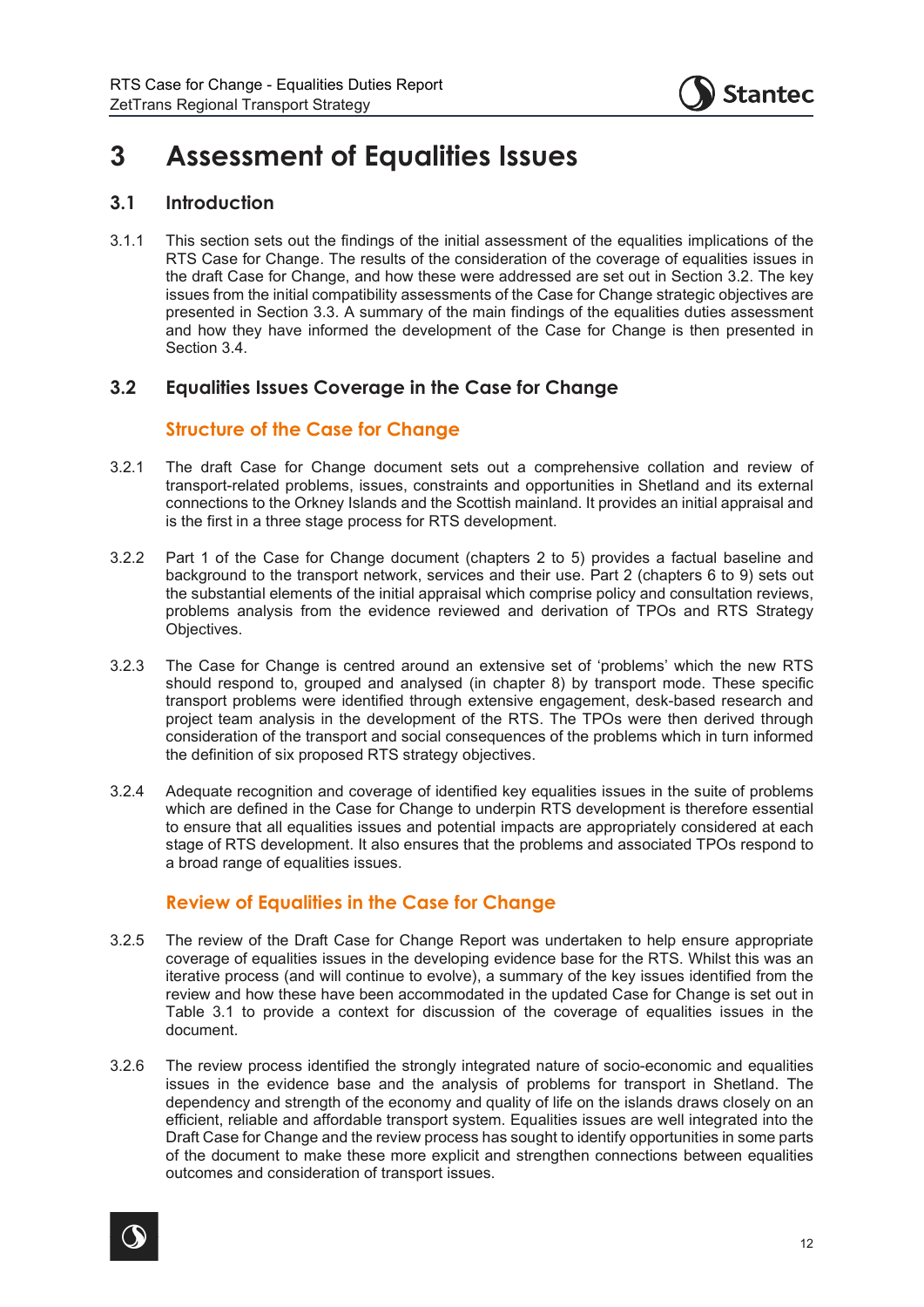

## 3 Assessment of Equalities Issues

## 3.1 Introduction

3.1.1 This section sets out the findings of the initial assessment of the equalities implications of the RTS Case for Change. The results of the consideration of the coverage of equalities issues in the draft Case for Change, and how these were addressed are set out in Section 3.2. The key issues from the initial compatibility assessments of the Case for Change strategic objectives are presented in Section 3.3. A summary of the main findings of the equalities duties assessment and how they have informed the development of the Case for Change is then presented in Section 3.4.

## 3.2 Equalities Issues Coverage in the Case for Change

## Structure of the Case for Change

- 3.2.1 The draft Case for Change document sets out a comprehensive collation and review of transport-related problems, issues, constraints and opportunities in Shetland and its external connections to the Orkney Islands and the Scottish mainland. It provides an initial appraisal and is the first in a three stage process for RTS development.
- 3.2.2 Part 1 of the Case for Change document (chapters 2 to 5) provides a factual baseline and background to the transport network, services and their use. Part 2 (chapters 6 to 9) sets out the substantial elements of the initial appraisal which comprise policy and consultation reviews, problems analysis from the evidence reviewed and derivation of TPOs and RTS Strategy Objectives.
- 3.2.3 The Case for Change is centred around an extensive set of 'problems' which the new RTS should respond to, grouped and analysed (in chapter 8) by transport mode. These specific transport problems were identified through extensive engagement, desk-based research and project team analysis in the development of the RTS. The TPOs were then derived through consideration of the transport and social consequences of the problems which in turn informed the definition of six proposed RTS strategy objectives.
- 3.2.4 Adequate recognition and coverage of identified key equalities issues in the suite of problems which are defined in the Case for Change to underpin RTS development is therefore essential to ensure that all equalities issues and potential impacts are appropriately considered at each stage of RTS development. It also ensures that the problems and associated TPOs respond to a broad range of equalities issues.

## Review of Equalities in the Case for Change

- 3.2.5 The review of the Draft Case for Change Report was undertaken to help ensure appropriate coverage of equalities issues in the developing evidence base for the RTS. Whilst this was an iterative process (and will continue to evolve), a summary of the key issues identified from the review and how these have been accommodated in the updated Case for Change is set out in Table 3.1 to provide a context for discussion of the coverage of equalities issues in the document.
- 3.2.6 The review process identified the strongly integrated nature of socio-economic and equalities issues in the evidence base and the analysis of problems for transport in Shetland. The dependency and strength of the economy and quality of life on the islands draws closely on an efficient, reliable and affordable transport system. Equalities issues are well integrated into the Draft Case for Change and the review process has sought to identify opportunities in some parts of the document to make these more explicit and strengthen connections between equalities outcomes and consideration of transport issues.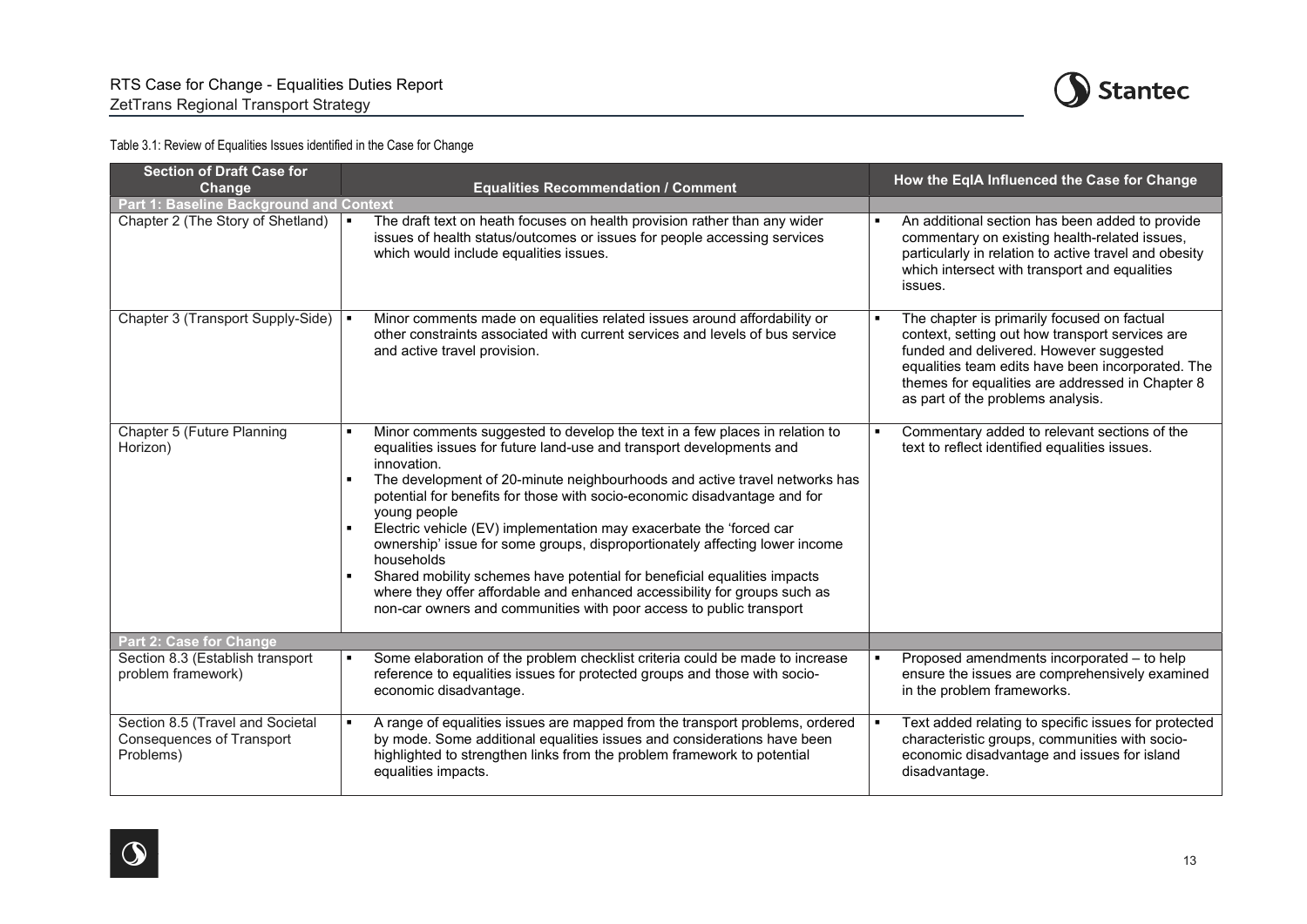

| Table 3.1: Review of Equalities Issues identified in the Case for Change |  |  |
|--------------------------------------------------------------------------|--|--|
|--------------------------------------------------------------------------|--|--|

| <b>Section of Draft Case for</b><br>Change                                        |                | <b>Equalities Recommendation / Comment</b>                                                                                                                                                                                                                                                                                                                                                                                                                                                                                                                                                                                                                                                                                                        | How the EqIA Influenced the Case for Change                                                                                                                                                                                                                                             |
|-----------------------------------------------------------------------------------|----------------|---------------------------------------------------------------------------------------------------------------------------------------------------------------------------------------------------------------------------------------------------------------------------------------------------------------------------------------------------------------------------------------------------------------------------------------------------------------------------------------------------------------------------------------------------------------------------------------------------------------------------------------------------------------------------------------------------------------------------------------------------|-----------------------------------------------------------------------------------------------------------------------------------------------------------------------------------------------------------------------------------------------------------------------------------------|
| Part 1: Baseline Background and Context                                           |                |                                                                                                                                                                                                                                                                                                                                                                                                                                                                                                                                                                                                                                                                                                                                                   |                                                                                                                                                                                                                                                                                         |
| Chapter 2 (The Story of Shetland)                                                 | $\blacksquare$ | The draft text on heath focuses on health provision rather than any wider<br>issues of health status/outcomes or issues for people accessing services<br>which would include equalities issues.                                                                                                                                                                                                                                                                                                                                                                                                                                                                                                                                                   | An additional section has been added to provide<br>commentary on existing health-related issues,<br>particularly in relation to active travel and obesity<br>which intersect with transport and equalities<br>issues.                                                                   |
| Chapter 3 (Transport Supply-Side)                                                 |                | Minor comments made on equalities related issues around affordability or<br>other constraints associated with current services and levels of bus service<br>and active travel provision.                                                                                                                                                                                                                                                                                                                                                                                                                                                                                                                                                          | The chapter is primarily focused on factual<br>context, setting out how transport services are<br>funded and delivered. However suggested<br>equalities team edits have been incorporated. The<br>themes for equalities are addressed in Chapter 8<br>as part of the problems analysis. |
| Chapter 5 (Future Planning<br>Horizon)                                            | $\blacksquare$ | Minor comments suggested to develop the text in a few places in relation to<br>equalities issues for future land-use and transport developments and<br>innovation.<br>The development of 20-minute neighbourhoods and active travel networks has<br>potential for benefits for those with socio-economic disadvantage and for<br>young people<br>Electric vehicle (EV) implementation may exacerbate the 'forced car<br>ownership' issue for some groups, disproportionately affecting lower income<br>households<br>Shared mobility schemes have potential for beneficial equalities impacts<br>where they offer affordable and enhanced accessibility for groups such as<br>non-car owners and communities with poor access to public transport | Commentary added to relevant sections of the<br>text to reflect identified equalities issues.                                                                                                                                                                                           |
| Part 2: Case for Change                                                           |                |                                                                                                                                                                                                                                                                                                                                                                                                                                                                                                                                                                                                                                                                                                                                                   |                                                                                                                                                                                                                                                                                         |
| Section 8.3 (Establish transport<br>problem framework)                            |                | Some elaboration of the problem checklist criteria could be made to increase<br>reference to equalities issues for protected groups and those with socio-<br>economic disadvantage.                                                                                                                                                                                                                                                                                                                                                                                                                                                                                                                                                               | Proposed amendments incorporated - to help<br>ensure the issues are comprehensively examined<br>in the problem frameworks.                                                                                                                                                              |
| Section 8.5 (Travel and Societal<br><b>Consequences of Transport</b><br>Problems) | $\blacksquare$ | A range of equalities issues are mapped from the transport problems, ordered<br>by mode. Some additional equalities issues and considerations have been<br>highlighted to strengthen links from the problem framework to potential<br>equalities impacts.                                                                                                                                                                                                                                                                                                                                                                                                                                                                                         | Text added relating to specific issues for protected<br>characteristic groups, communities with socio-<br>economic disadvantage and issues for island<br>disadvantage.                                                                                                                  |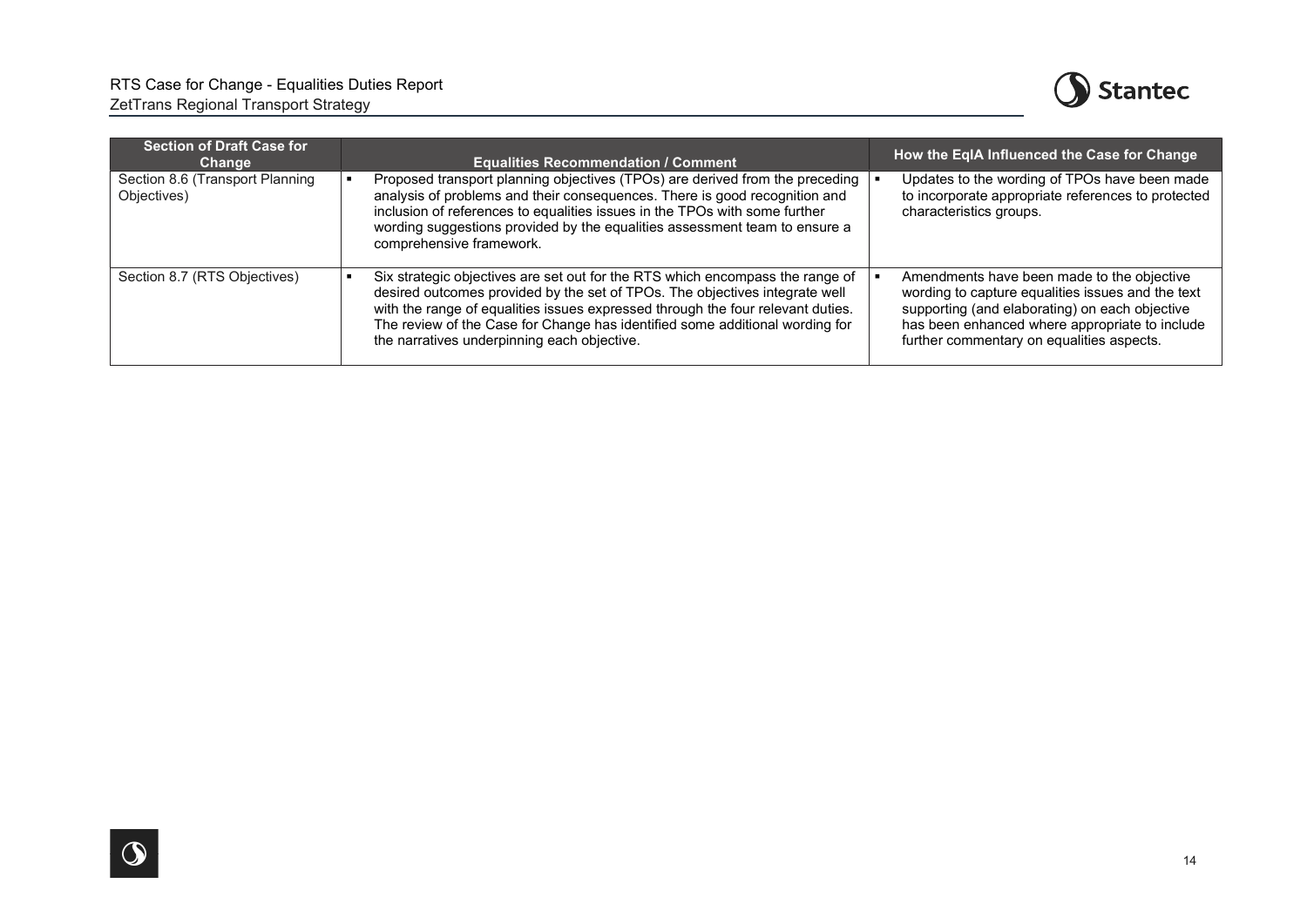

| <b>Section of Draft Case for</b><br>Change     | <b>Equalities Recommendation / Comment</b>                                                                                                                                                                                                                                                                                                                                     | How the EqIA Influenced the Case for Change                                                                                                                                                                                                      |
|------------------------------------------------|--------------------------------------------------------------------------------------------------------------------------------------------------------------------------------------------------------------------------------------------------------------------------------------------------------------------------------------------------------------------------------|--------------------------------------------------------------------------------------------------------------------------------------------------------------------------------------------------------------------------------------------------|
| Section 8.6 (Transport Planning<br>Objectives) | Proposed transport planning objectives (TPOs) are derived from the preceding<br>analysis of problems and their consequences. There is good recognition and<br>inclusion of references to equalities issues in the TPOs with some further<br>wording suggestions provided by the equalities assessment team to ensure a<br>comprehensive framework.                             | Updates to the wording of TPOs have been made<br>to incorporate appropriate references to protected<br>characteristics groups.                                                                                                                   |
| Section 8.7 (RTS Objectives)                   | Six strategic objectives are set out for the RTS which encompass the range of<br>desired outcomes provided by the set of TPOs. The objectives integrate well<br>with the range of equalities issues expressed through the four relevant duties.<br>The review of the Case for Change has identified some additional wording for<br>the narratives underpinning each objective. | Amendments have been made to the objective<br>wording to capture equalities issues and the text<br>supporting (and elaborating) on each objective<br>has been enhanced where appropriate to include<br>further commentary on equalities aspects. |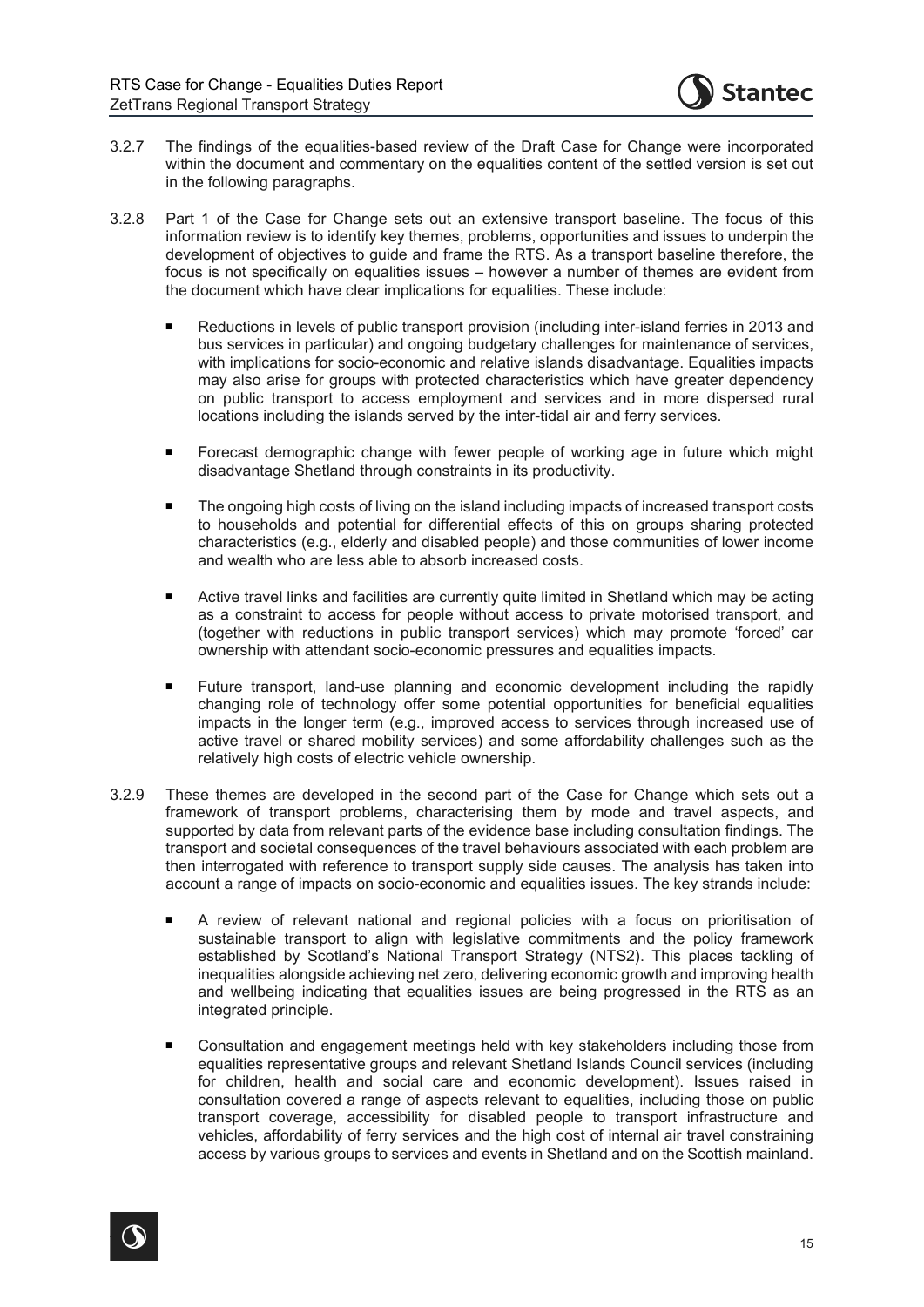

- 3.2.7 The findings of the equalities-based review of the Draft Case for Change were incorporated within the document and commentary on the equalities content of the settled version is set out in the following paragraphs.
- 3.2.8 Part 1 of the Case for Change sets out an extensive transport baseline. The focus of this information review is to identify key themes, problems, opportunities and issues to underpin the development of objectives to guide and frame the RTS. As a transport baseline therefore, the focus is not specifically on equalities issues – however a number of themes are evident from the document which have clear implications for equalities. These include:
	- Reductions in levels of public transport provision (including inter-island ferries in 2013 and bus services in particular) and ongoing budgetary challenges for maintenance of services, with implications for socio-economic and relative islands disadvantage. Equalities impacts may also arise for groups with protected characteristics which have greater dependency on public transport to access employment and services and in more dispersed rural locations including the islands served by the inter-tidal air and ferry services.
	- Forecast demographic change with fewer people of working age in future which might disadvantage Shetland through constraints in its productivity.
	- The ongoing high costs of living on the island including impacts of increased transport costs to households and potential for differential effects of this on groups sharing protected characteristics (e.g., elderly and disabled people) and those communities of lower income and wealth who are less able to absorb increased costs.
	- Active travel links and facilities are currently quite limited in Shetland which may be acting as a constraint to access for people without access to private motorised transport, and (together with reductions in public transport services) which may promote 'forced' car ownership with attendant socio-economic pressures and equalities impacts.
	- **Future transport, land-use planning and economic development including the rapidly** changing role of technology offer some potential opportunities for beneficial equalities impacts in the longer term (e.g., improved access to services through increased use of active travel or shared mobility services) and some affordability challenges such as the relatively high costs of electric vehicle ownership.
- 3.2.9 These themes are developed in the second part of the Case for Change which sets out a framework of transport problems, characterising them by mode and travel aspects, and supported by data from relevant parts of the evidence base including consultation findings. The transport and societal consequences of the travel behaviours associated with each problem are then interrogated with reference to transport supply side causes. The analysis has taken into account a range of impacts on socio-economic and equalities issues. The key strands include:
	- A review of relevant national and regional policies with a focus on prioritisation of sustainable transport to align with legislative commitments and the policy framework established by Scotland's National Transport Strategy (NTS2). This places tackling of inequalities alongside achieving net zero, delivering economic growth and improving health and wellbeing indicating that equalities issues are being progressed in the RTS as an integrated principle.
	- Consultation and engagement meetings held with key stakeholders including those from equalities representative groups and relevant Shetland Islands Council services (including for children, health and social care and economic development). Issues raised in consultation covered a range of aspects relevant to equalities, including those on public transport coverage, accessibility for disabled people to transport infrastructure and vehicles, affordability of ferry services and the high cost of internal air travel constraining access by various groups to services and events in Shetland and on the Scottish mainland.

15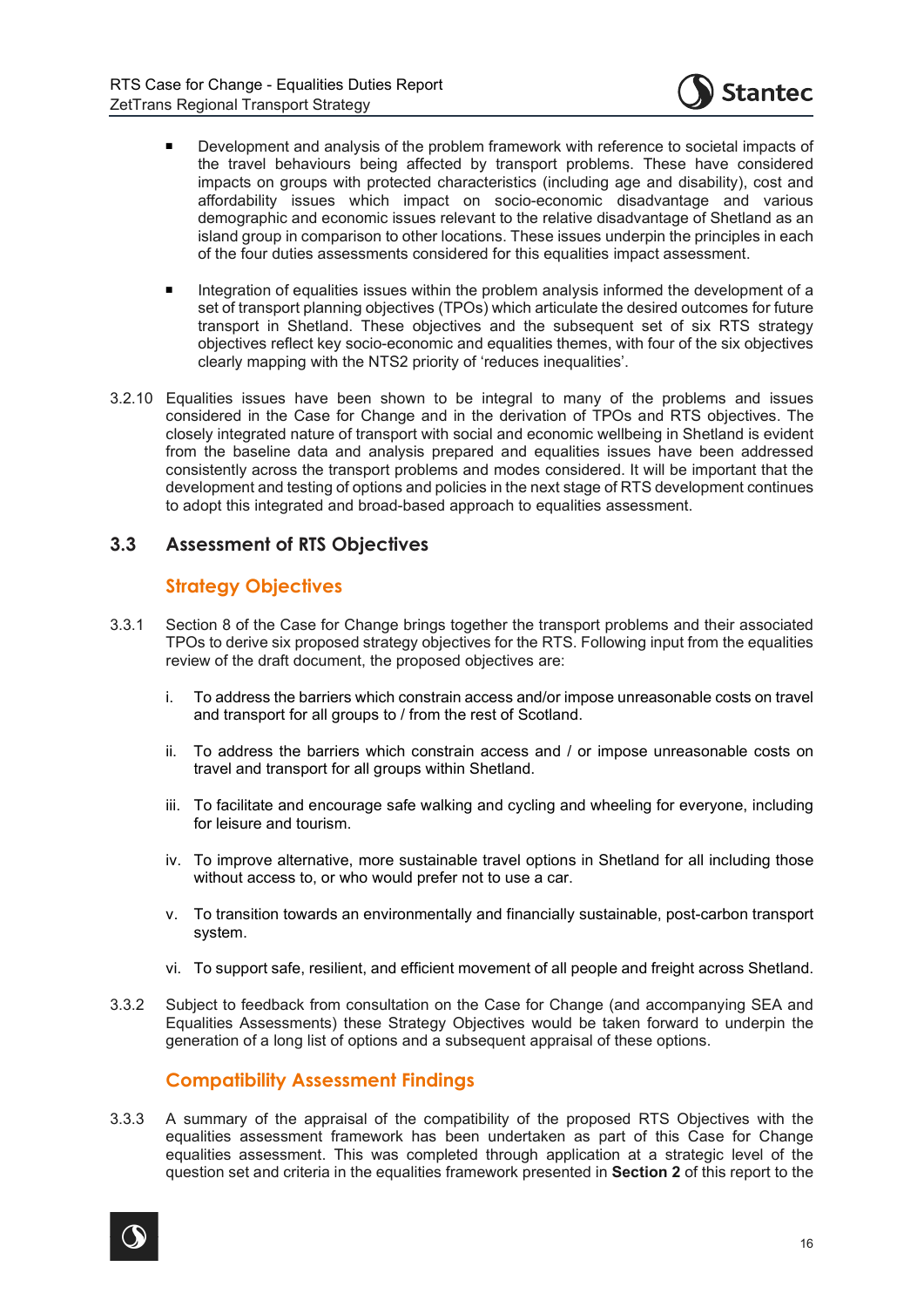

- Development and analysis of the problem framework with reference to societal impacts of the travel behaviours being affected by transport problems. These have considered impacts on groups with protected characteristics (including age and disability), cost and affordability issues which impact on socio-economic disadvantage and various demographic and economic issues relevant to the relative disadvantage of Shetland as an island group in comparison to other locations. These issues underpin the principles in each of the four duties assessments considered for this equalities impact assessment.
- **Integration of equalities issues within the problem analysis informed the development of a** set of transport planning objectives (TPOs) which articulate the desired outcomes for future transport in Shetland. These objectives and the subsequent set of six RTS strategy objectives reflect key socio-economic and equalities themes, with four of the six objectives clearly mapping with the NTS2 priority of 'reduces inequalities'.
- 3.2.10 Equalities issues have been shown to be integral to many of the problems and issues considered in the Case for Change and in the derivation of TPOs and RTS objectives. The closely integrated nature of transport with social and economic wellbeing in Shetland is evident from the baseline data and analysis prepared and equalities issues have been addressed consistently across the transport problems and modes considered. It will be important that the development and testing of options and policies in the next stage of RTS development continues to adopt this integrated and broad-based approach to equalities assessment.

## 3.3 Assessment of RTS Objectives

## Strategy Objectives

- 3.3.1 Section 8 of the Case for Change brings together the transport problems and their associated TPOs to derive six proposed strategy objectives for the RTS. Following input from the equalities review of the draft document, the proposed objectives are:
	- i. To address the barriers which constrain access and/or impose unreasonable costs on travel and transport for all groups to / from the rest of Scotland.
	- ii. To address the barriers which constrain access and / or impose unreasonable costs on travel and transport for all groups within Shetland.
	- iii. To facilitate and encourage safe walking and cycling and wheeling for everyone, including for leisure and tourism.
	- iv. To improve alternative, more sustainable travel options in Shetland for all including those without access to, or who would prefer not to use a car.
	- v. To transition towards an environmentally and financially sustainable, post-carbon transport system.
	- vi. To support safe, resilient, and efficient movement of all people and freight across Shetland.
- 3.3.2 Subject to feedback from consultation on the Case for Change (and accompanying SEA and Equalities Assessments) these Strategy Objectives would be taken forward to underpin the generation of a long list of options and a subsequent appraisal of these options.

## Compatibility Assessment Findings

3.3.3 A summary of the appraisal of the compatibility of the proposed RTS Objectives with the equalities assessment framework has been undertaken as part of this Case for Change equalities assessment. This was completed through application at a strategic level of the question set and criteria in the equalities framework presented in Section 2 of this report to the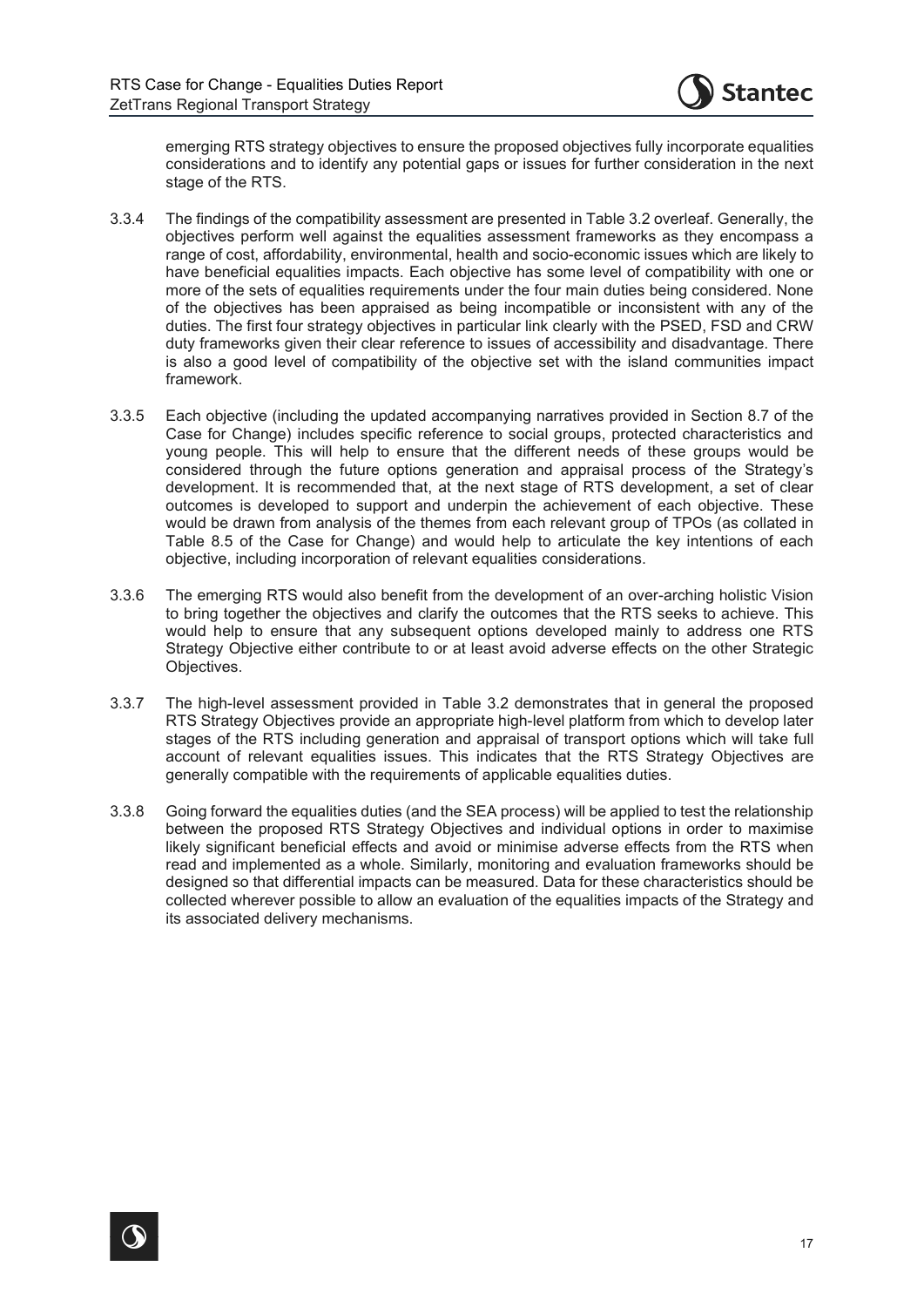

emerging RTS strategy objectives to ensure the proposed objectives fully incorporate equalities considerations and to identify any potential gaps or issues for further consideration in the next stage of the RTS.

- 3.3.4 The findings of the compatibility assessment are presented in Table 3.2 overleaf. Generally, the objectives perform well against the equalities assessment frameworks as they encompass a range of cost, affordability, environmental, health and socio-economic issues which are likely to have beneficial equalities impacts. Each objective has some level of compatibility with one or more of the sets of equalities requirements under the four main duties being considered. None of the objectives has been appraised as being incompatible or inconsistent with any of the duties. The first four strategy objectives in particular link clearly with the PSED, FSD and CRW duty frameworks given their clear reference to issues of accessibility and disadvantage. There is also a good level of compatibility of the objective set with the island communities impact framework.
- 3.3.5 Each objective (including the updated accompanying narratives provided in Section 8.7 of the Case for Change) includes specific reference to social groups, protected characteristics and young people. This will help to ensure that the different needs of these groups would be considered through the future options generation and appraisal process of the Strategy's development. It is recommended that, at the next stage of RTS development, a set of clear outcomes is developed to support and underpin the achievement of each objective. These would be drawn from analysis of the themes from each relevant group of TPOs (as collated in Table 8.5 of the Case for Change) and would help to articulate the key intentions of each objective, including incorporation of relevant equalities considerations.
- 3.3.6 The emerging RTS would also benefit from the development of an over-arching holistic Vision to bring together the objectives and clarify the outcomes that the RTS seeks to achieve. This would help to ensure that any subsequent options developed mainly to address one RTS Strategy Objective either contribute to or at least avoid adverse effects on the other Strategic Objectives.
- 3.3.7 The high-level assessment provided in Table 3.2 demonstrates that in general the proposed RTS Strategy Objectives provide an appropriate high-level platform from which to develop later stages of the RTS including generation and appraisal of transport options which will take full account of relevant equalities issues. This indicates that the RTS Strategy Objectives are generally compatible with the requirements of applicable equalities duties.
- 3.3.8 Going forward the equalities duties (and the SEA process) will be applied to test the relationship between the proposed RTS Strategy Objectives and individual options in order to maximise likely significant beneficial effects and avoid or minimise adverse effects from the RTS when read and implemented as a whole. Similarly, monitoring and evaluation frameworks should be designed so that differential impacts can be measured. Data for these characteristics should be collected wherever possible to allow an evaluation of the equalities impacts of the Strategy and its associated delivery mechanisms.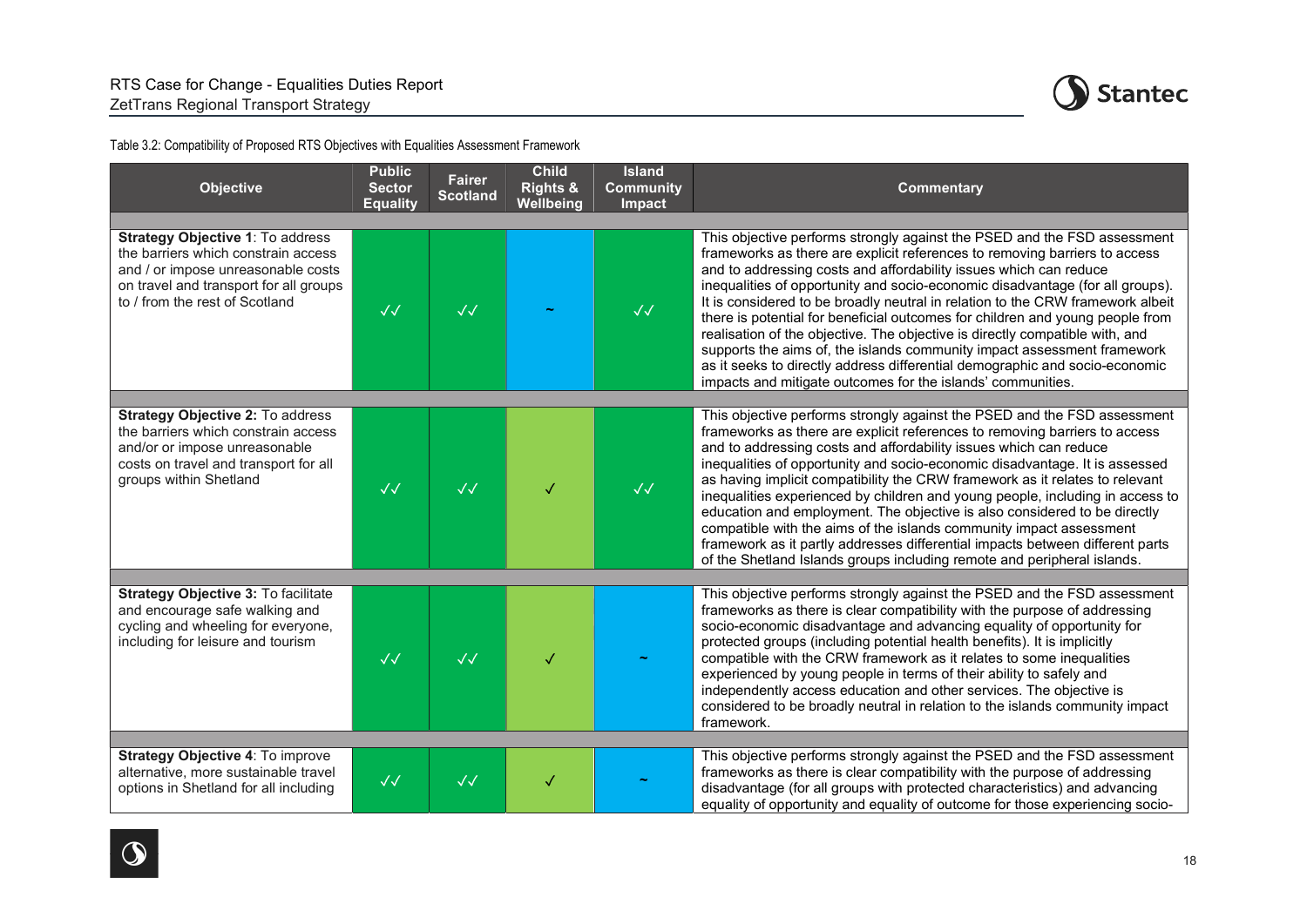

Table 3.2: Compatibility of Proposed RTS Objectives with Equalities Assessment Framework

| Objective                                                                                                                                                                                        | <b>Public</b><br><b>Sector</b><br><b>Equality</b> | <b>Fairer</b><br><b>Scotland</b> | <b>Child</b><br><b>Rights &amp;</b><br>Wellbeing | <b>Island</b><br><b>Community</b><br>Impact | <b>Commentary</b>                                                                                                                                                                                                                                                                                                                                                                                                                                                                                                                                                                                                                                                                                                                                                                           |
|--------------------------------------------------------------------------------------------------------------------------------------------------------------------------------------------------|---------------------------------------------------|----------------------------------|--------------------------------------------------|---------------------------------------------|---------------------------------------------------------------------------------------------------------------------------------------------------------------------------------------------------------------------------------------------------------------------------------------------------------------------------------------------------------------------------------------------------------------------------------------------------------------------------------------------------------------------------------------------------------------------------------------------------------------------------------------------------------------------------------------------------------------------------------------------------------------------------------------------|
| <b>Strategy Objective 1: To address</b><br>the barriers which constrain access<br>and / or impose unreasonable costs<br>on travel and transport for all groups<br>to / from the rest of Scotland | $\sqrt{\sqrt{2}}$                                 | $\sqrt{\sqrt{2}}$                |                                                  | $\sqrt{\sqrt{2}}$                           | This objective performs strongly against the PSED and the FSD assessment<br>frameworks as there are explicit references to removing barriers to access<br>and to addressing costs and affordability issues which can reduce<br>inequalities of opportunity and socio-economic disadvantage (for all groups).<br>It is considered to be broadly neutral in relation to the CRW framework albeit<br>there is potential for beneficial outcomes for children and young people from<br>realisation of the objective. The objective is directly compatible with, and<br>supports the aims of, the islands community impact assessment framework<br>as it seeks to directly address differential demographic and socio-economic<br>impacts and mitigate outcomes for the islands' communities.    |
| <b>Strategy Objective 2: To address</b><br>the barriers which constrain access<br>and/or or impose unreasonable<br>costs on travel and transport for all<br>groups within Shetland               | $\sqrt{\sqrt{2}}$                                 | $\sqrt{\sqrt{2}}$                |                                                  | $\sqrt{2}$                                  | This objective performs strongly against the PSED and the FSD assessment<br>frameworks as there are explicit references to removing barriers to access<br>and to addressing costs and affordability issues which can reduce<br>inequalities of opportunity and socio-economic disadvantage. It is assessed<br>as having implicit compatibility the CRW framework as it relates to relevant<br>inequalities experienced by children and young people, including in access to<br>education and employment. The objective is also considered to be directly<br>compatible with the aims of the islands community impact assessment<br>framework as it partly addresses differential impacts between different parts<br>of the Shetland Islands groups including remote and peripheral islands. |
| Strategy Objective 3: To facilitate<br>and encourage safe walking and<br>cycling and wheeling for everyone,<br>including for leisure and tourism                                                 | $\sqrt{\sqrt{2}}$                                 | $\sqrt{\sqrt{2}}$                | √                                                |                                             | This objective performs strongly against the PSED and the FSD assessment<br>frameworks as there is clear compatibility with the purpose of addressing<br>socio-economic disadvantage and advancing equality of opportunity for<br>protected groups (including potential health benefits). It is implicitly<br>compatible with the CRW framework as it relates to some inequalities<br>experienced by young people in terms of their ability to safely and<br>independently access education and other services. The objective is<br>considered to be broadly neutral in relation to the islands community impact<br>framework.                                                                                                                                                              |
| Strategy Objective 4: To improve<br>alternative, more sustainable travel<br>options in Shetland for all including                                                                                | $\sqrt{\sqrt{2}}$                                 | $\checkmark$                     |                                                  |                                             | This objective performs strongly against the PSED and the FSD assessment<br>frameworks as there is clear compatibility with the purpose of addressing<br>disadvantage (for all groups with protected characteristics) and advancing<br>equality of opportunity and equality of outcome for those experiencing socio-                                                                                                                                                                                                                                                                                                                                                                                                                                                                        |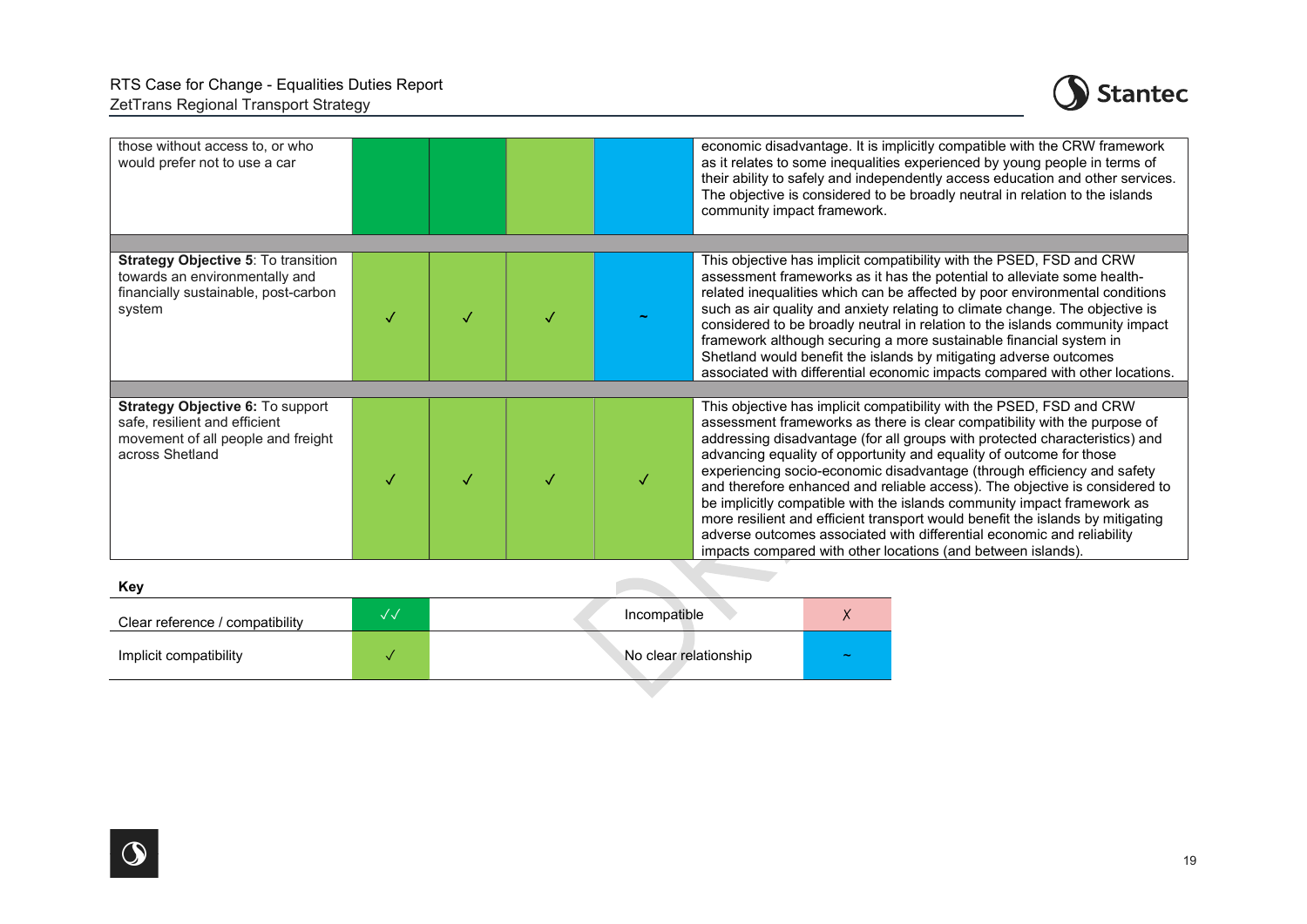

| those without access to, or who<br>would prefer not to use a car                                                                  |  |  |  |  | economic disadvantage. It is implicitly compatible with the CRW framework<br>as it relates to some inequalities experienced by young people in terms of<br>their ability to safely and independently access education and other services.<br>The objective is considered to be broadly neutral in relation to the islands<br>community impact framework.                                                                                                                                                                                                                                                                                                                                                                                                                 |  |  |
|-----------------------------------------------------------------------------------------------------------------------------------|--|--|--|--|--------------------------------------------------------------------------------------------------------------------------------------------------------------------------------------------------------------------------------------------------------------------------------------------------------------------------------------------------------------------------------------------------------------------------------------------------------------------------------------------------------------------------------------------------------------------------------------------------------------------------------------------------------------------------------------------------------------------------------------------------------------------------|--|--|
|                                                                                                                                   |  |  |  |  |                                                                                                                                                                                                                                                                                                                                                                                                                                                                                                                                                                                                                                                                                                                                                                          |  |  |
| <b>Strategy Objective 5: To transition</b><br>towards an environmentally and<br>financially sustainable, post-carbon<br>system    |  |  |  |  | This objective has implicit compatibility with the PSED, FSD and CRW<br>assessment frameworks as it has the potential to alleviate some health-<br>related inequalities which can be affected by poor environmental conditions<br>such as air quality and anxiety relating to climate change. The objective is<br>considered to be broadly neutral in relation to the islands community impact<br>framework although securing a more sustainable financial system in<br>Shetland would benefit the islands by mitigating adverse outcomes<br>associated with differential economic impacts compared with other locations.                                                                                                                                                |  |  |
|                                                                                                                                   |  |  |  |  |                                                                                                                                                                                                                                                                                                                                                                                                                                                                                                                                                                                                                                                                                                                                                                          |  |  |
| <b>Strategy Objective 6: To support</b><br>safe, resilient and efficient<br>movement of all people and freight<br>across Shetland |  |  |  |  | This objective has implicit compatibility with the PSED, FSD and CRW<br>assessment frameworks as there is clear compatibility with the purpose of<br>addressing disadvantage (for all groups with protected characteristics) and<br>advancing equality of opportunity and equality of outcome for those<br>experiencing socio-economic disadvantage (through efficiency and safety<br>and therefore enhanced and reliable access). The objective is considered to<br>be implicitly compatible with the islands community impact framework as<br>more resilient and efficient transport would benefit the islands by mitigating<br>adverse outcomes associated with differential economic and reliability<br>impacts compared with other locations (and between islands). |  |  |
| <b>Key</b>                                                                                                                        |  |  |  |  |                                                                                                                                                                                                                                                                                                                                                                                                                                                                                                                                                                                                                                                                                                                                                                          |  |  |

| Clear reference / compatibility | Incompatible          |                       |
|---------------------------------|-----------------------|-----------------------|
| Implicit compatibility          | No clear relationship | $\tilde{\phantom{a}}$ |
|                                 |                       |                       |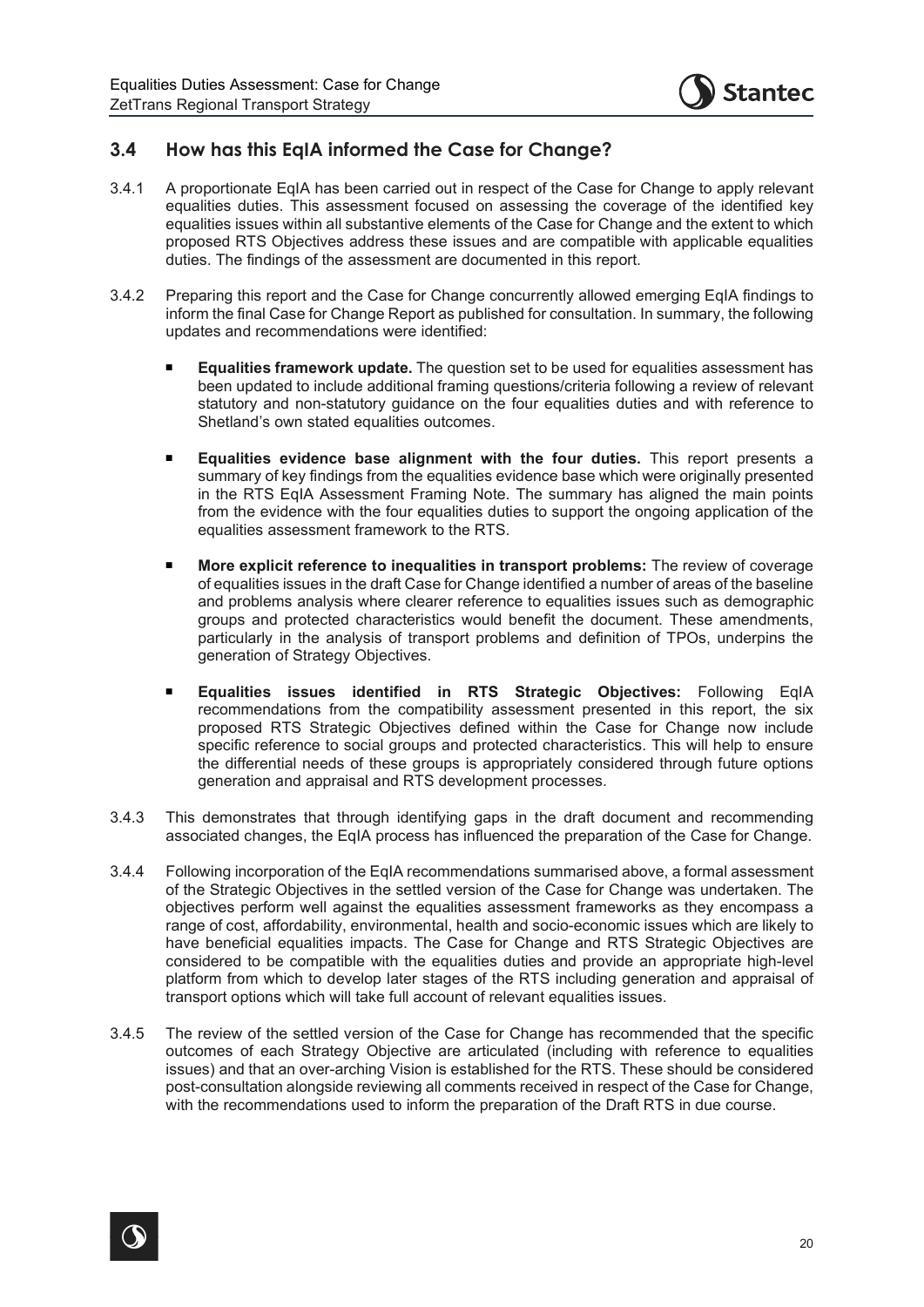

## 3.4 How has this EqIA informed the Case for Change?

- 3.4.1 A proportionate EqIA has been carried out in respect of the Case for Change to apply relevant equalities duties. This assessment focused on assessing the coverage of the identified key equalities issues within all substantive elements of the Case for Change and the extent to which proposed RTS Objectives address these issues and are compatible with applicable equalities duties. The findings of the assessment are documented in this report.
- 3.4.2 Preparing this report and the Case for Change concurrently allowed emerging EqIA findings to inform the final Case for Change Report as published for consultation. In summary, the following updates and recommendations were identified:
	- Equalities framework update. The question set to be used for equalities assessment has been updated to include additional framing questions/criteria following a review of relevant statutory and non-statutory guidance on the four equalities duties and with reference to Shetland's own stated equalities outcomes.
	- Equalities evidence base alignment with the four duties. This report presents a summary of key findings from the equalities evidence base which were originally presented in the RTS EqIA Assessment Framing Note. The summary has aligned the main points from the evidence with the four equalities duties to support the ongoing application of the equalities assessment framework to the RTS.
	- More explicit reference to inequalities in transport problems: The review of coverage of equalities issues in the draft Case for Change identified a number of areas of the baseline and problems analysis where clearer reference to equalities issues such as demographic groups and protected characteristics would benefit the document. These amendments, particularly in the analysis of transport problems and definition of TPOs, underpins the generation of Strategy Objectives.
	- Equalities issues identified in RTS Strategic Objectives: Following EqIA recommendations from the compatibility assessment presented in this report, the six proposed RTS Strategic Objectives defined within the Case for Change now include specific reference to social groups and protected characteristics. This will help to ensure the differential needs of these groups is appropriately considered through future options generation and appraisal and RTS development processes.
- 3.4.3 This demonstrates that through identifying gaps in the draft document and recommending associated changes, the EqIA process has influenced the preparation of the Case for Change.
- 3.4.4 Following incorporation of the EqIA recommendations summarised above, a formal assessment of the Strategic Objectives in the settled version of the Case for Change was undertaken. The objectives perform well against the equalities assessment frameworks as they encompass a range of cost, affordability, environmental, health and socio-economic issues which are likely to have beneficial equalities impacts. The Case for Change and RTS Strategic Objectives are considered to be compatible with the equalities duties and provide an appropriate high-level platform from which to develop later stages of the RTS including generation and appraisal of transport options which will take full account of relevant equalities issues.
- 3.4.5 The review of the settled version of the Case for Change has recommended that the specific outcomes of each Strategy Objective are articulated (including with reference to equalities issues) and that an over-arching Vision is established for the RTS. These should be considered post-consultation alongside reviewing all comments received in respect of the Case for Change, with the recommendations used to inform the preparation of the Draft RTS in due course.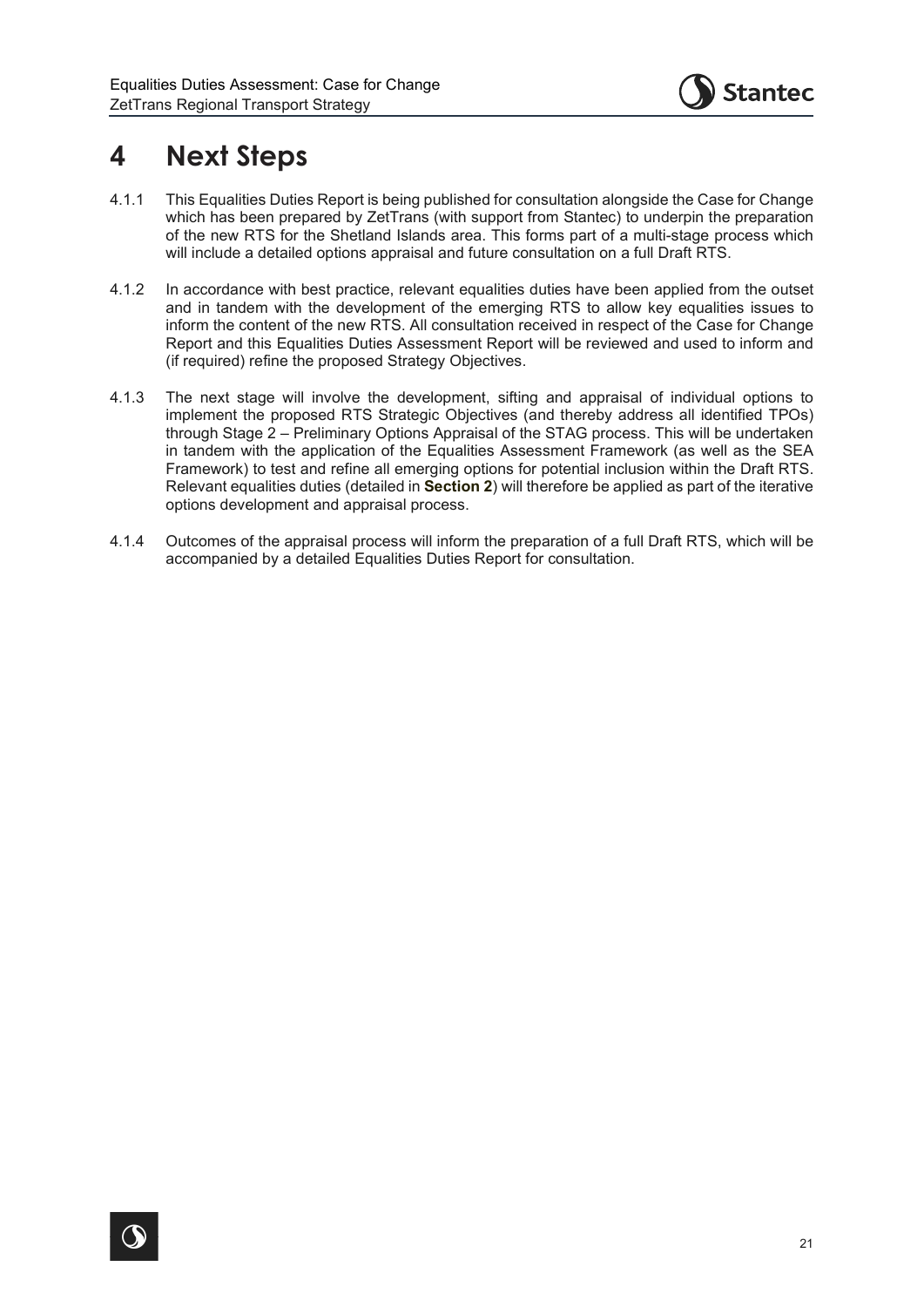

## 4 Next Steps

- 4.1.1 This Equalities Duties Report is being published for consultation alongside the Case for Change which has been prepared by ZetTrans (with support from Stantec) to underpin the preparation of the new RTS for the Shetland Islands area. This forms part of a multi-stage process which will include a detailed options appraisal and future consultation on a full Draft RTS.
- 4.1.2 In accordance with best practice, relevant equalities duties have been applied from the outset and in tandem with the development of the emerging RTS to allow key equalities issues to inform the content of the new RTS. All consultation received in respect of the Case for Change Report and this Equalities Duties Assessment Report will be reviewed and used to inform and (if required) refine the proposed Strategy Objectives.
- 4.1.3 The next stage will involve the development, sifting and appraisal of individual options to implement the proposed RTS Strategic Objectives (and thereby address all identified TPOs) through Stage 2 – Preliminary Options Appraisal of the STAG process. This will be undertaken in tandem with the application of the Equalities Assessment Framework (as well as the SEA Framework) to test and refine all emerging options for potential inclusion within the Draft RTS. Relevant equalities duties (detailed in Section 2) will therefore be applied as part of the iterative options development and appraisal process.
- 4.1.4 Outcomes of the appraisal process will inform the preparation of a full Draft RTS, which will be accompanied by a detailed Equalities Duties Report for consultation.